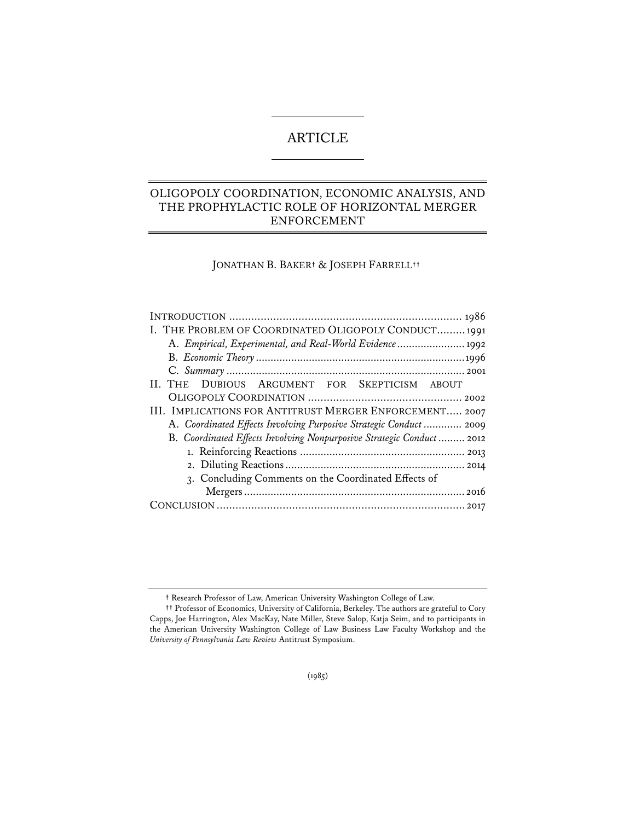# ARTICLE

# OLIGOPOLY COORDINATION, ECONOMIC ANALYSIS, AND THE PROPHYLACTIC ROLE OF HORIZONTAL MERGER ENFORCEMENT

JONATHAN B. BAKER**†** & JOSEPH FARRELL**††\***

| I. THE PROBLEM OF COORDINATED OLIGOPOLY CONDUCT 1991                  |
|-----------------------------------------------------------------------|
| A. Empirical, Experimental, and Real-World Evidence 1992              |
|                                                                       |
|                                                                       |
| II. THE DUBIOUS ARGUMENT FOR SKEPTICISM ABOUT                         |
|                                                                       |
| III. IMPLICATIONS FOR ANTITRUST MERGER ENFORCEMENT 2007               |
| A. Coordinated Effects Involving Purposive Strategic Conduct  2009    |
| B. Coordinated Effects Involving Nonpurposive Strategic Conduct  2012 |
|                                                                       |
|                                                                       |
| 3. Concluding Comments on the Coordinated Effects of                  |
|                                                                       |
|                                                                       |

**<sup>†</sup>** Research Professor of Law, American University Washington College of Law.

**<sup>††</sup>** Professor of Economics, University of California, Berkeley. The authors are grateful to Cory Capps, Joe Harrington, Alex MacKay, Nate Miller, Steve Salop, Katja Seim, and to participants in the American University Washington College of Law Business Law Faculty Workshop and the *University of Pennsylvania Law Review* Antitrust Symposium.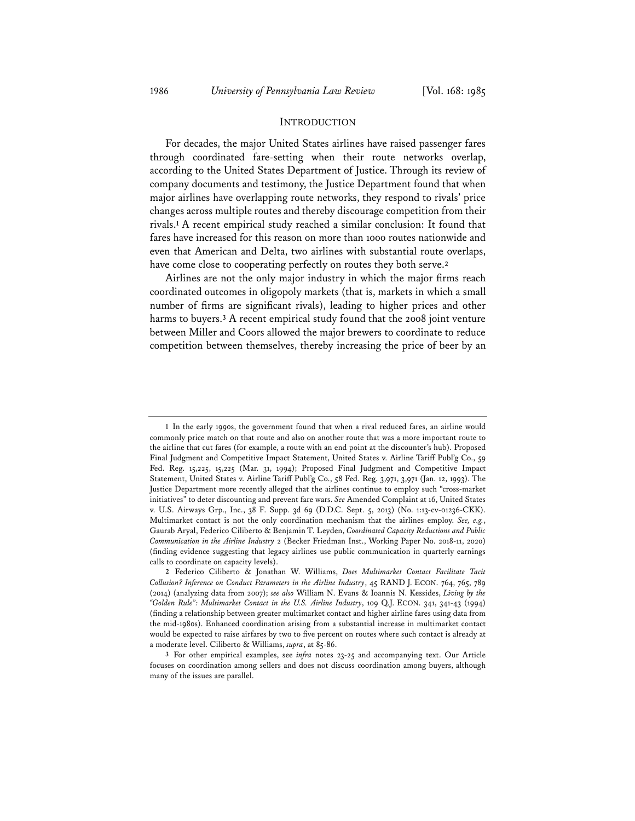#### INTRODUCTION

For decades, the major United States airlines have raised passenger fares through coordinated fare-setting when their route networks overlap, according to the United States Department of Justice. Through its review of company documents and testimony, the Justice Department found that when major airlines have overlapping route networks, they respond to rivals' price changes across multiple routes and thereby discourage competition from their rivals.**<sup>1</sup>** A recent empirical study reached a similar conclusion: It found that fares have increased for this reason on more than 1000 routes nationwide and even that American and Delta, two airlines with substantial route overlaps, have come close to cooperating perfectly on routes they both serve.**<sup>2</sup>**

Airlines are not the only major industry in which the major firms reach coordinated outcomes in oligopoly markets (that is, markets in which a small number of firms are significant rivals), leading to higher prices and other harms to buyers.**<sup>3</sup>** A recent empirical study found that the 2008 joint venture between Miller and Coors allowed the major brewers to coordinate to reduce competition between themselves, thereby increasing the price of beer by an

**<sup>1</sup>** In the early 1990s, the government found that when a rival reduced fares, an airline would commonly price match on that route and also on another route that was a more important route to the airline that cut fares (for example, a route with an end point at the discounter's hub). Proposed Final Judgment and Competitive Impact Statement, United States v. Airline Tariff Publ'g Co., 59 Fed. Reg. 15,225, 15,225 (Mar. 31, 1994); Proposed Final Judgment and Competitive Impact Statement, United States v. Airline Tariff Publ'g Co., 58 Fed. Reg. 3,971, 3,971 (Jan. 12, 1993). The Justice Department more recently alleged that the airlines continue to employ such "cross-market initiatives" to deter discounting and prevent fare wars. *See* Amended Complaint at 16, United States v. U.S. Airways Grp., Inc., 38 F. Supp. 3d 69 (D.D.C. Sept. 5, 2013) (No. 1:13-cv-01236-CKK). Multimarket contact is not the only coordination mechanism that the airlines employ. *See, e.g.*, Gaurab Aryal, Federico Ciliberto & Benjamin T. Leyden, *Coordinated Capacity Reductions and Public Communication in the Airline Industry* 2 (Becker Friedman Inst., Working Paper No. 2018-11, 2020) (finding evidence suggesting that legacy airlines use public communication in quarterly earnings calls to coordinate on capacity levels).

**<sup>2</sup>** Federico Ciliberto & Jonathan W. Williams, *Does Multimarket Contact Facilitate Tacit Collusion? Inference on Conduct Parameters in the Airline Industry*, 45 RAND J. ECON. 764, 765, 789 (2014) (analyzing data from 2007); *see also* William N. Evans & Ioannis N. Kessides, *Living by the "Golden Rule": Multimarket Contact in the U.S. Airline Industry*, 109 Q.J. ECON. 341, 341-43 (1994) (finding a relationship between greater multimarket contact and higher airline fares using data from the mid-1980s). Enhanced coordination arising from a substantial increase in multimarket contact would be expected to raise airfares by two to five percent on routes where such contact is already at a moderate level. Ciliberto & Williams, *supra*, at 85-86.

**<sup>3</sup>** For other empirical examples, see *infra* notes 23-25 and accompanying text. Our Article focuses on coordination among sellers and does not discuss coordination among buyers, although many of the issues are parallel.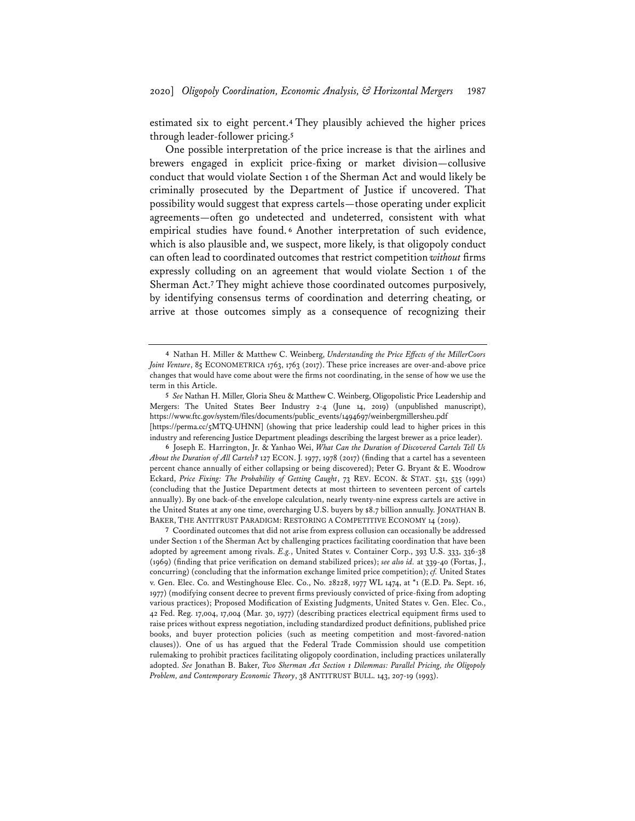estimated six to eight percent.**<sup>4</sup>** They plausibly achieved the higher prices through leader-follower pricing.**<sup>5</sup>**

One possible interpretation of the price increase is that the airlines and brewers engaged in explicit price-fixing or market division—collusive conduct that would violate Section 1 of the Sherman Act and would likely be criminally prosecuted by the Department of Justice if uncovered. That possibility would suggest that express cartels—those operating under explicit agreements—often go undetected and undeterred, consistent with what empirical studies have found. **<sup>6</sup>** Another interpretation of such evidence, which is also plausible and, we suspect, more likely, is that oligopoly conduct can often lead to coordinated outcomes that restrict competition *without* firms expressly colluding on an agreement that would violate Section 1 of the Sherman Act.**<sup>7</sup>** They might achieve those coordinated outcomes purposively, by identifying consensus terms of coordination and deterring cheating, or arrive at those outcomes simply as a consequence of recognizing their

**7** Coordinated outcomes that did not arise from express collusion can occasionally be addressed under Section 1 of the Sherman Act by challenging practices facilitating coordination that have been adopted by agreement among rivals. *E.g.*, United States v. Container Corp., 393 U.S. 333, 336-38 (1969) (finding that price verification on demand stabilized prices); *see also id.* at 339-40 (Fortas, J., concurring) (concluding that the information exchange limited price competition); *cf.* United States v. Gen. Elec. Co. and Westinghouse Elec. Co., No. 28228, 1977 WL 1474, at \*1 (E.D. Pa. Sept. 16, 1977) (modifying consent decree to prevent firms previously convicted of price-fixing from adopting various practices); Proposed Modification of Existing Judgments, United States v. Gen. Elec. Co., 42 Fed. Reg. 17,004, 17,004 (Mar. 30, 1977) (describing practices electrical equipment firms used to raise prices without express negotiation, including standardized product definitions, published price books, and buyer protection policies (such as meeting competition and most-favored-nation clauses)). One of us has argued that the Federal Trade Commission should use competition rulemaking to prohibit practices facilitating oligopoly coordination, including practices unilaterally adopted. *See* Jonathan B. Baker, *Two Sherman Act Section 1 Dilemmas: Parallel Pricing, the Oligopoly Problem, and Contemporary Economic Theory*, 38 ANTITRUST BULL. 143, 207-19 (1993).

**<sup>4</sup>** Nathan H. Miller & Matthew C. Weinberg, *Understanding the Price Effects of the MillerCoors Joint Venture*, 85 ECONOMETRICA 1763, 1763 (2017). These price increases are over-and-above price changes that would have come about were the firms not coordinating, in the sense of how we use the term in this Article.

**<sup>5</sup>** *See* Nathan H. Miller, Gloria Sheu & Matthew C. Weinberg, Oligopolistic Price Leadership and Mergers: The United States Beer Industry 2-4 (June 14, 2019) (unpublished manuscript), https://www.ftc.gov/system/files/documents/public\_events/1494697/weinbergmillersheu.pdf [https://perma.cc/5MTQ-UHNN] (showing that price leadership could lead to higher prices in this industry and referencing Justice Department pleadings describing the largest brewer as a price leader).

**<sup>6</sup>** Joseph E. Harrington, Jr. & Yanhao Wei, *What Can the Duration of Discovered Cartels Tell Us About the Duration of All Cartels?* 127 ECON. J. 1977, 1978 (2017) (finding that a cartel has a seventeen percent chance annually of either collapsing or being discovered); Peter G. Bryant & E. Woodrow Eckard, *Price Fixing: The Probability of Getting Caught*, 73 REV. ECON. & STAT. 531, 535 (1991) (concluding that the Justice Department detects at most thirteen to seventeen percent of cartels annually). By one back-of-the envelope calculation, nearly twenty-nine express cartels are active in the United States at any one time, overcharging U.S. buyers by \$8.7 billion annually. JONATHAN B. BAKER, THE ANTITRUST PARADIGM: RESTORING A COMPETITIVE ECONOMY 14 (2019).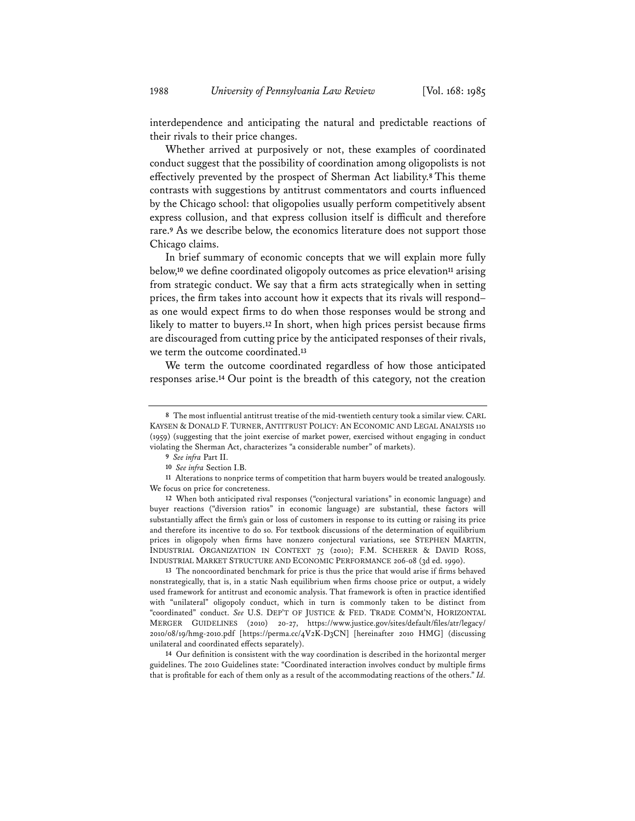interdependence and anticipating the natural and predictable reactions of their rivals to their price changes.

Whether arrived at purposively or not, these examples of coordinated conduct suggest that the possibility of coordination among oligopolists is not effectively prevented by the prospect of Sherman Act liability.**<sup>8</sup>** This theme contrasts with suggestions by antitrust commentators and courts influenced by the Chicago school: that oligopolies usually perform competitively absent express collusion, and that express collusion itself is difficult and therefore rare.**<sup>9</sup>** As we describe below, the economics literature does not support those Chicago claims.

In brief summary of economic concepts that we will explain more fully below,**<sup>10</sup>** we define coordinated oligopoly outcomes as price elevation**<sup>11</sup>** arising from strategic conduct. We say that a firm acts strategically when in setting prices, the firm takes into account how it expects that its rivals will respond– as one would expect firms to do when those responses would be strong and likely to matter to buyers.**<sup>12</sup>** In short, when high prices persist because firms are discouraged from cutting price by the anticipated responses of their rivals, we term the outcome coordinated.**<sup>13</sup>**

We term the outcome coordinated regardless of how those anticipated responses arise.**<sup>14</sup>** Our point is the breadth of this category, not the creation

**12** When both anticipated rival responses ("conjectural variations" in economic language) and buyer reactions ("diversion ratios" in economic language) are substantial, these factors will substantially affect the firm's gain or loss of customers in response to its cutting or raising its price and therefore its incentive to do so. For textbook discussions of the determination of equilibrium prices in oligopoly when firms have nonzero conjectural variations, see STEPHEN MARTIN, INDUSTRIAL ORGANIZATION IN CONTEXT 75 (2010); F.M. SCHERER & DAVID ROSS, INDUSTRIAL MARKET STRUCTURE AND ECONOMIC PERFORMANCE 206-08 (3d ed. 1990).

**13** The noncoordinated benchmark for price is thus the price that would arise if firms behaved nonstrategically, that is, in a static Nash equilibrium when firms choose price or output, a widely used framework for antitrust and economic analysis. That framework is often in practice identified with "unilateral" oligopoly conduct, which in turn is commonly taken to be distinct from "coordinated" conduct. *See* U.S. DEP'T OF JUSTICE & FED. TRADE COMM'N, HORIZONTAL MERGER GUIDELINES (2010) 20-27, https://www.justice.gov/sites/default/files/atr/legacy/ 2010/08/19/hmg-2010.pdf [https://perma.cc/4V2K-D3CN] [hereinafter 2010 HMG] (discussing unilateral and coordinated effects separately).

**14** Our definition is consistent with the way coordination is described in the horizontal merger guidelines. The 2010 Guidelines state: "Coordinated interaction involves conduct by multiple firms that is profitable for each of them only as a result of the accommodating reactions of the others." *Id.*

**<sup>8</sup>** The most influential antitrust treatise of the mid-twentieth century took a similar view. CARL KAYSEN & DONALD F. TURNER, ANTITRUST POLICY: AN ECONOMIC AND LEGAL ANALYSIS 110 (1959) (suggesting that the joint exercise of market power, exercised without engaging in conduct violating the Sherman Act, characterizes "a considerable number" of markets).

**<sup>9</sup>** *See infra* Part II.

**<sup>10</sup>** *See infra* Section I.B.

**<sup>11</sup>** Alterations to nonprice terms of competition that harm buyers would be treated analogously. We focus on price for concreteness.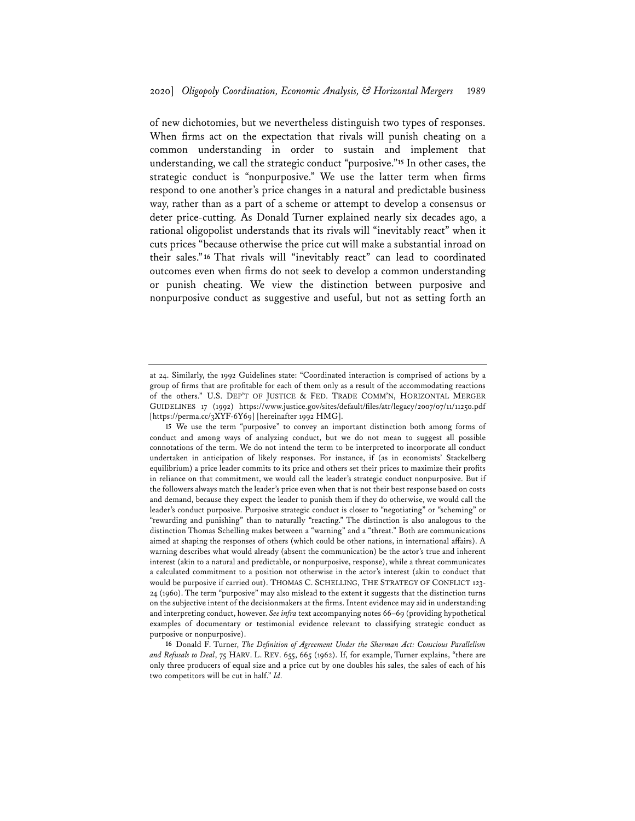of new dichotomies, but we nevertheless distinguish two types of responses. When firms act on the expectation that rivals will punish cheating on a common understanding in order to sustain and implement that understanding, we call the strategic conduct "purposive."**<sup>15</sup>** In other cases, the strategic conduct is "nonpurposive." We use the latter term when firms respond to one another's price changes in a natural and predictable business way, rather than as a part of a scheme or attempt to develop a consensus or deter price-cutting. As Donald Turner explained nearly six decades ago, a rational oligopolist understands that its rivals will "inevitably react" when it cuts prices "because otherwise the price cut will make a substantial inroad on their sales."**<sup>16</sup>** That rivals will "inevitably react" can lead to coordinated outcomes even when firms do not seek to develop a common understanding or punish cheating. We view the distinction between purposive and nonpurposive conduct as suggestive and useful, but not as setting forth an

at 24. Similarly, the 1992 Guidelines state: "Coordinated interaction is comprised of actions by a group of firms that are profitable for each of them only as a result of the accommodating reactions of the others." U.S. DEP'T OF JUSTICE & FED. TRADE COMM'N, HORIZONTAL MERGER GUIDELINES 17 (1992) https://www.justice.gov/sites/default/files/atr/legacy/2007/07/11/11250.pdf [https://perma.cc/3XYF-6Y69] [hereinafter 1992 HMG].

**<sup>15</sup>** We use the term "purposive" to convey an important distinction both among forms of conduct and among ways of analyzing conduct, but we do not mean to suggest all possible connotations of the term. We do not intend the term to be interpreted to incorporate all conduct undertaken in anticipation of likely responses. For instance, if (as in economists' Stackelberg equilibrium) a price leader commits to its price and others set their prices to maximize their profits in reliance on that commitment, we would call the leader's strategic conduct nonpurposive. But if the followers always match the leader's price even when that is not their best response based on costs and demand, because they expect the leader to punish them if they do otherwise, we would call the leader's conduct purposive. Purposive strategic conduct is closer to "negotiating" or "scheming" or "rewarding and punishing" than to naturally "reacting." The distinction is also analogous to the distinction Thomas Schelling makes between a "warning" and a "threat." Both are communications aimed at shaping the responses of others (which could be other nations, in international affairs). A warning describes what would already (absent the communication) be the actor's true and inherent interest (akin to a natural and predictable, or nonpurposive, response), while a threat communicates a calculated commitment to a position not otherwise in the actor's interest (akin to conduct that would be purposive if carried out). THOMAS C. SCHELLING, THE STRATEGY OF CONFLICT 123- 24 (1960). The term "purposive" may also mislead to the extent it suggests that the distinction turns on the subjective intent of the decisionmakers at the firms. Intent evidence may aid in understanding and interpreting conduct, however. *See infra* text accompanying notes 66–69 (providing hypothetical examples of documentary or testimonial evidence relevant to classifying strategic conduct as purposive or nonpurposive).

**<sup>16</sup>** Donald F. Turner, *The Definition of Agreement Under the Sherman Act: Conscious Parallelism and Refusals to Deal*, 75 HARV. L. REV. 655, 665 (1962). If, for example, Turner explains, "there are only three producers of equal size and a price cut by one doubles his sales, the sales of each of his two competitors will be cut in half." *Id.*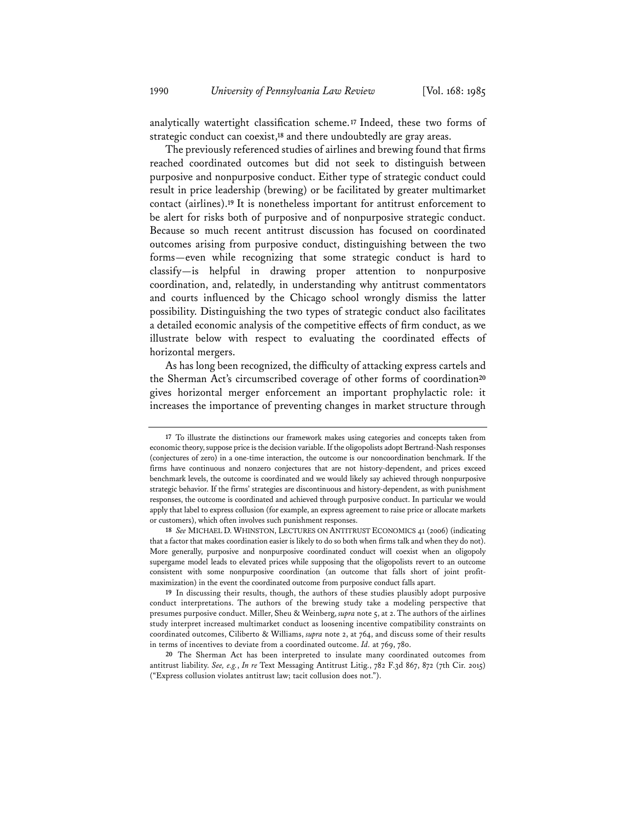analytically watertight classification scheme.**<sup>17</sup>** Indeed, these two forms of strategic conduct can coexist,**<sup>18</sup>** and there undoubtedly are gray areas.

The previously referenced studies of airlines and brewing found that firms reached coordinated outcomes but did not seek to distinguish between purposive and nonpurposive conduct. Either type of strategic conduct could result in price leadership (brewing) or be facilitated by greater multimarket contact (airlines).**<sup>19</sup>** It is nonetheless important for antitrust enforcement to be alert for risks both of purposive and of nonpurposive strategic conduct. Because so much recent antitrust discussion has focused on coordinated outcomes arising from purposive conduct, distinguishing between the two forms—even while recognizing that some strategic conduct is hard to classify—is helpful in drawing proper attention to nonpurposive coordination, and, relatedly, in understanding why antitrust commentators and courts influenced by the Chicago school wrongly dismiss the latter possibility. Distinguishing the two types of strategic conduct also facilitates a detailed economic analysis of the competitive effects of firm conduct, as we illustrate below with respect to evaluating the coordinated effects of horizontal mergers.

As has long been recognized, the difficulty of attacking express cartels and the Sherman Act's circumscribed coverage of other forms of coordination**<sup>20</sup>** gives horizontal merger enforcement an important prophylactic role: it increases the importance of preventing changes in market structure through

**<sup>17</sup>** To illustrate the distinctions our framework makes using categories and concepts taken from economic theory, suppose price is the decision variable. If the oligopolists adopt Bertrand-Nash responses (conjectures of zero) in a one-time interaction, the outcome is our noncoordination benchmark. If the firms have continuous and nonzero conjectures that are not history-dependent, and prices exceed benchmark levels, the outcome is coordinated and we would likely say achieved through nonpurposive strategic behavior. If the firms' strategies are discontinuous and history-dependent, as with punishment responses, the outcome is coordinated and achieved through purposive conduct. In particular we would apply that label to express collusion (for example, an express agreement to raise price or allocate markets or customers), which often involves such punishment responses.

**<sup>18</sup>** *See* MICHAEL D. WHINSTON, LECTURES ON ANTITRUST ECONOMICS 41 (2006) (indicating that a factor that makes coordination easier is likely to do so both when firms talk and when they do not). More generally, purposive and nonpurposive coordinated conduct will coexist when an oligopoly supergame model leads to elevated prices while supposing that the oligopolists revert to an outcome consistent with some nonpurposive coordination (an outcome that falls short of joint profitmaximization) in the event the coordinated outcome from purposive conduct falls apart.

**<sup>19</sup>** In discussing their results, though, the authors of these studies plausibly adopt purposive conduct interpretations. The authors of the brewing study take a modeling perspective that presumes purposive conduct. Miller, Sheu & Weinberg, *supra* note 5, at 2. The authors of the airlines study interpret increased multimarket conduct as loosening incentive compatibility constraints on coordinated outcomes, Ciliberto & Williams, *supra* note 2, at 764, and discuss some of their results in terms of incentives to deviate from a coordinated outcome. *Id.* at 769, 780.

**<sup>20</sup>** The Sherman Act has been interpreted to insulate many coordinated outcomes from antitrust liability. *See, e.g.*, *In re* Text Messaging Antitrust Litig., 782 F.3d 867, 872 (7th Cir. 2015) ("Express collusion violates antitrust law; tacit collusion does not.").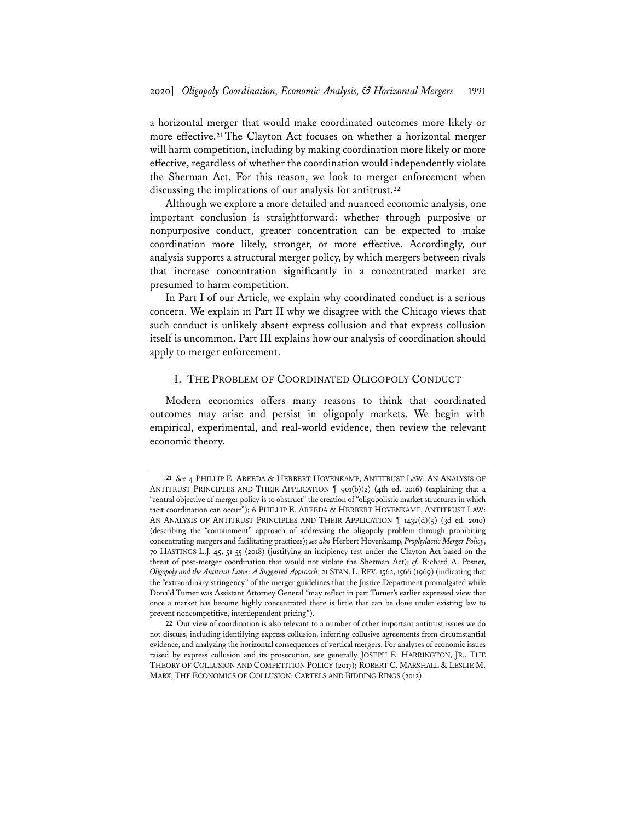a horizontal merger that would make coordinated outcomes more likely or more effective.**<sup>21</sup>** The Clayton Act focuses on whether a horizontal merger will harm competition, including by making coordination more likely or more effective, regardless of whether the coordination would independently violate the Sherman Act. For this reason, we look to merger enforcement when discussing the implications of our analysis for antitrust.**<sup>22</sup>**

Although we explore a more detailed and nuanced economic analysis, one important conclusion is straightforward: whether through purposive or nonpurposive conduct, greater concentration can be expected to make coordination more likely, stronger, or more effective. Accordingly, our analysis supports a structural merger policy, by which mergers between rivals that increase concentration significantly in a concentrated market are presumed to harm competition.

In Part I of our Article, we explain why coordinated conduct is a serious concern. We explain in Part II why we disagree with the Chicago views that such conduct is unlikely absent express collusion and that express collusion itself is uncommon. Part III explains how our analysis of coordination should apply to merger enforcement.

# I. THE PROBLEM OF COORDINATED OLIGOPOLY CONDUCT

Modern economics offers many reasons to think that coordinated outcomes may arise and persist in oligopoly markets. We begin with empirical, experimental, and real-world evidence, then review the relevant economic theory.

**<sup>21</sup>** *See* 4 PHILLIP E. AREEDA & HERBERT HOVENKAMP, ANTITRUST LAW: AN ANALYSIS OF ANTITRUST PRINCIPLES AND THEIR APPLICATION ¶ 901(b)(2) (4th ed. 2016) (explaining that a "central objective of merger policy is to obstruct" the creation of "oligopolistic market structures in which tacit coordination can occur"); 6 PHILLIP E. AREEDA & HERBERT HOVENKAMP, ANTITRUST LAW: AN ANALYSIS OF ANTITRUST PRINCIPLES AND THEIR APPLICATION  $\parallel$  1432(d)(5) (3d ed. 2010) (describing the "containment" approach of addressing the oligopoly problem through prohibiting concentrating mergers and facilitating practices); *see also* Herbert Hovenkamp, *Prophylactic Merger Policy*, 70 HASTINGS L.J. 45, 51-55 (2018) (justifying an incipiency test under the Clayton Act based on the threat of post-merger coordination that would not violate the Sherman Act); *cf.* Richard A. Posner, *Oligopoly and the Antitrust Laws: A Suggested Approach*, 21 STAN. L.REV. 1562, 1566 (1969) (indicating that the "extraordinary stringency" of the merger guidelines that the Justice Department promulgated while Donald Turner was Assistant Attorney General "may reflect in part Turner's earlier expressed view that once a market has become highly concentrated there is little that can be done under existing law to prevent noncompetitive, interdependent pricing").

**<sup>22</sup>** Our view of coordination is also relevant to a number of other important antitrust issues we do not discuss, including identifying express collusion, inferring collusive agreements from circumstantial evidence, and analyzing the horizontal consequences of vertical mergers. For analyses of economic issues raised by express collusion and its prosecution, see generally JOSEPH E. HARRINGTON, JR., THE THEORY OF COLLUSION AND COMPETITION POLICY (2017); ROBERT C. MARSHALL & LESLIE M. MARX, THE ECONOMICS OF COLLUSION: CARTELS AND BIDDING RINGS (2012).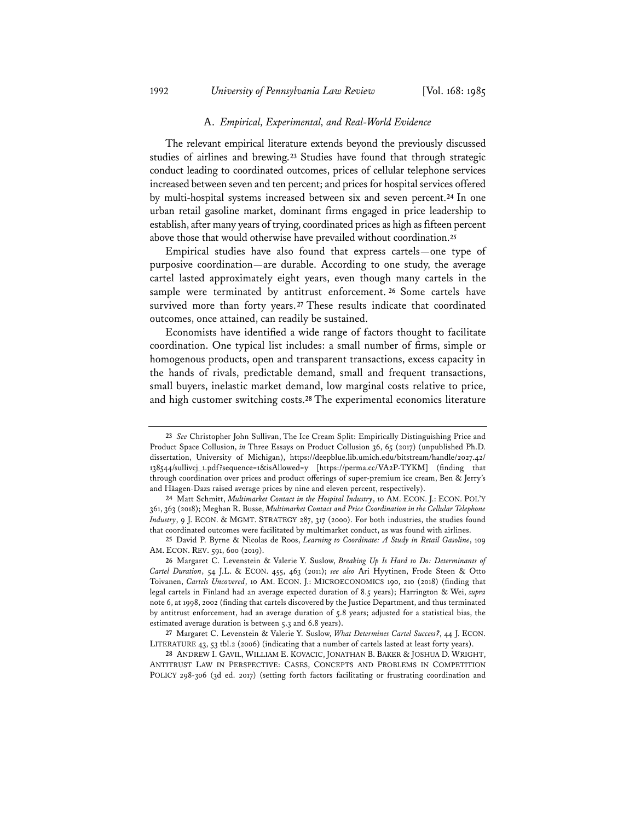#### A. *Empirical, Experimental, and Real-World Evidence*

The relevant empirical literature extends beyond the previously discussed studies of airlines and brewing.**<sup>23</sup>** Studies have found that through strategic conduct leading to coordinated outcomes, prices of cellular telephone services increased between seven and ten percent; and prices for hospital services offered by multi-hospital systems increased between six and seven percent.**<sup>24</sup>** In one urban retail gasoline market, dominant firms engaged in price leadership to establish, after many years of trying, coordinated prices as high as fifteen percent above those that would otherwise have prevailed without coordination.**<sup>25</sup>**

Empirical studies have also found that express cartels—one type of purposive coordination—are durable. According to one study, the average cartel lasted approximately eight years, even though many cartels in the sample were terminated by antitrust enforcement. **<sup>26</sup>** Some cartels have survived more than forty years.**<sup>27</sup>** These results indicate that coordinated outcomes, once attained, can readily be sustained.

Economists have identified a wide range of factors thought to facilitate coordination. One typical list includes: a small number of firms, simple or homogenous products, open and transparent transactions, excess capacity in the hands of rivals, predictable demand, small and frequent transactions, small buyers, inelastic market demand, low marginal costs relative to price, and high customer switching costs.**<sup>28</sup>** The experimental economics literature

**<sup>23</sup>** *See* Christopher John Sullivan, The Ice Cream Split: Empirically Distinguishing Price and Product Space Collusion, *in* Three Essays on Product Collusion 36, 65 (2017) (unpublished Ph.D. dissertation, University of Michigan), https://deepblue.lib.umich.edu/bitstream/handle/2027.42/ 138544/sullivcj\_1.pdf?sequence=1&isAllowed=y [https://perma.cc/VA2P-TYKM] (finding that through coordination over prices and product offerings of super-premium ice cream, Ben & Jerry's and Häagen-Dazs raised average prices by nine and eleven percent, respectively).

**<sup>24</sup>** Matt Schmitt, *Multimarket Contact in the Hospital Industry*, 10 AM. ECON. J.: ECON. POL'Y 361, 363 (2018); Meghan R. Busse, *Multimarket Contact and Price Coordination in the Cellular Telephone Industry*, 9 J. ECON. & MGMT. STRATEGY 287, 317 (2000). For both industries, the studies found that coordinated outcomes were facilitated by multimarket conduct, as was found with airlines.

**<sup>25</sup>** David P. Byrne & Nicolas de Roos, *Learning to Coordinate: A Study in Retail Gasoline*, 109 AM. ECON. REV. 591, 600 (2019).

**<sup>26</sup>** Margaret C. Levenstein & Valerie Y. Suslow, *Breaking Up Is Hard to Do: Determinants of Cartel Duration*, 54 J.L. & ECON. 455, 463 (2011); *see also* Ari Hyytinen, Frode Steen & Otto Toivanen, *Cartels Uncovered*, 10 AM. ECON. J.: MICROECONOMICS 190, 210 (2018) (finding that legal cartels in Finland had an average expected duration of 8.5 years); Harrington & Wei, *supra* note 6, at 1998, 2002 (finding that cartels discovered by the Justice Department, and thus terminated by antitrust enforcement, had an average duration of 5.8 years; adjusted for a statistical bias, the estimated average duration is between 5.3 and 6.8 years).

**<sup>27</sup>** Margaret C. Levenstein & Valerie Y. Suslow, *What Determines Cartel Success?*, 44 J. ECON. LITERATURE 43, 53 tbl.2 (2006) (indicating that a number of cartels lasted at least forty years).

**<sup>28</sup>** ANDREW I. GAVIL, WILLIAM E. KOVACIC, JONATHAN B. BAKER & JOSHUA D. WRIGHT, ANTITRUST LAW IN PERSPECTIVE: CASES, CONCEPTS AND PROBLEMS IN COMPETITION POLICY 298-306 (3d ed. 2017) (setting forth factors facilitating or frustrating coordination and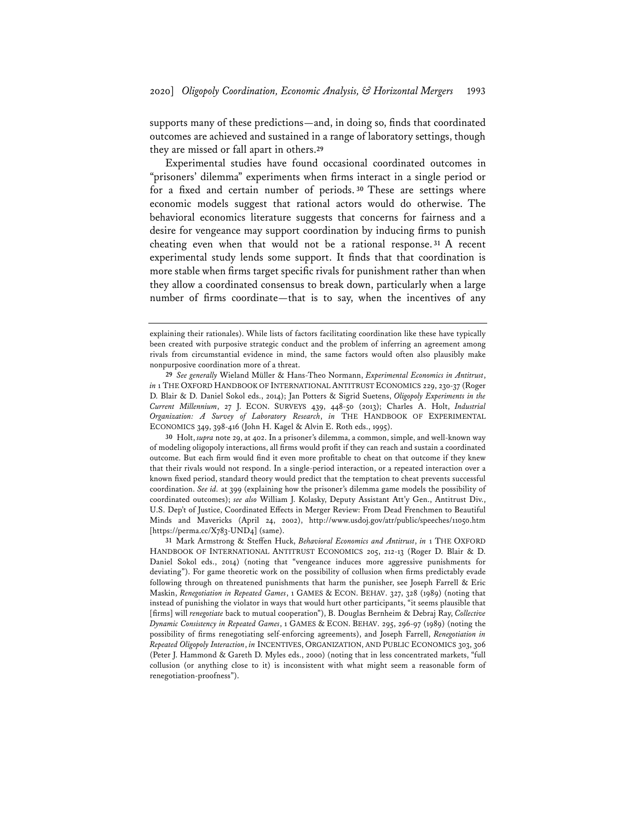supports many of these predictions—and, in doing so, finds that coordinated outcomes are achieved and sustained in a range of laboratory settings, though they are missed or fall apart in others.**<sup>29</sup>**

Experimental studies have found occasional coordinated outcomes in "prisoners' dilemma" experiments when firms interact in a single period or for a fixed and certain number of periods. **<sup>30</sup>** These are settings where economic models suggest that rational actors would do otherwise. The behavioral economics literature suggests that concerns for fairness and a desire for vengeance may support coordination by inducing firms to punish cheating even when that would not be a rational response. **<sup>31</sup>** A recent experimental study lends some support. It finds that that coordination is more stable when firms target specific rivals for punishment rather than when they allow a coordinated consensus to break down, particularly when a large number of firms coordinate—that is to say, when the incentives of any

**30** Holt, *supra* note 29, at 402. In a prisoner's dilemma, a common, simple, and well-known way of modeling oligopoly interactions, all firms would profit if they can reach and sustain a coordinated outcome. But each firm would find it even more profitable to cheat on that outcome if they knew that their rivals would not respond. In a single-period interaction, or a repeated interaction over a known fixed period, standard theory would predict that the temptation to cheat prevents successful coordination. *See id.* at 399 (explaining how the prisoner's dilemma game models the possibility of coordinated outcomes); *see also* William J. Kolasky, Deputy Assistant Att'y Gen., Antitrust Div., U.S. Dep't of Justice, Coordinated Effects in Merger Review: From Dead Frenchmen to Beautiful Minds and Mavericks (April 24, 2002), http://www.usdoj.gov/atr/public/speeches/11050.htm [https://perma.cc/X783-UND4] (same).

**31** Mark Armstrong & Steffen Huck, *Behavioral Economics and Antitrust*, *in* 1 THE OXFORD HANDBOOK OF INTERNATIONAL ANTITRUST ECONOMICS 205, 212-13 (Roger D. Blair & D. Daniel Sokol eds., 2014) (noting that "vengeance induces more aggressive punishments for deviating"). For game theoretic work on the possibility of collusion when firms predictably evade following through on threatened punishments that harm the punisher, see Joseph Farrell & Eric Maskin, *Renegotiation in Repeated Games*, 1 GAMES & ECON. BEHAV. 327, 328 (1989) (noting that instead of punishing the violator in ways that would hurt other participants, "it seems plausible that [firms] will *renegotiate* back to mutual cooperation"), B. Douglas Bernheim & Debraj Ray, *Collective Dynamic Consistency in Repeated Games*, 1 GAMES & ECON. BEHAV. 295, 296-97 (1989) (noting the possibility of firms renegotiating self-enforcing agreements), and Joseph Farrell, *Renegotiation in Repeated Oligopoly Interaction*, *in* INCENTIVES, ORGANIZATION, AND PUBLIC ECONOMICS 303, 306 (Peter J. Hammond & Gareth D. Myles eds., 2000) (noting that in less concentrated markets, "full collusion (or anything close to it) is inconsistent with what might seem a reasonable form of renegotiation-proofness").

explaining their rationales). While lists of factors facilitating coordination like these have typically been created with purposive strategic conduct and the problem of inferring an agreement among rivals from circumstantial evidence in mind, the same factors would often also plausibly make nonpurposive coordination more of a threat.

**<sup>29</sup>** *See generally* Wieland Müller & Hans-Theo Normann, *Experimental Economics in Antitrust*, *in* 1 THE OXFORD HANDBOOK OF INTERNATIONAL ANTITRUST ECONOMICS 229, 230-37 (Roger D. Blair & D. Daniel Sokol eds., 2014); Jan Potters & Sigrid Suetens, *Oligopoly Experiments in the Current Millennium*, 27 J. ECON. SURVEYS 439, 448-50 (2013); Charles A. Holt, *Industrial Organization: A Survey of Laboratory Research*, *in* THE HANDBOOK OF EXPERIMENTAL ECONOMICS 349, 398-416 (John H. Kagel & Alvin E. Roth eds., 1995).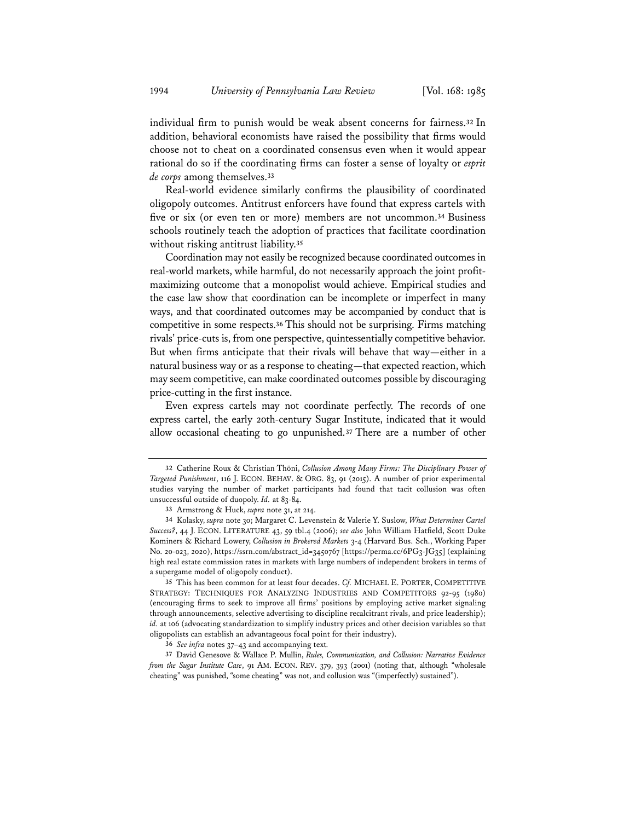individual firm to punish would be weak absent concerns for fairness.**<sup>32</sup>** In addition, behavioral economists have raised the possibility that firms would choose not to cheat on a coordinated consensus even when it would appear rational do so if the coordinating firms can foster a sense of loyalty or *esprit de corps* among themselves.**<sup>33</sup>**

Real-world evidence similarly confirms the plausibility of coordinated oligopoly outcomes. Antitrust enforcers have found that express cartels with five or six (or even ten or more) members are not uncommon.**<sup>34</sup>** Business schools routinely teach the adoption of practices that facilitate coordination without risking antitrust liability.**<sup>35</sup>**

Coordination may not easily be recognized because coordinated outcomes in real-world markets, while harmful, do not necessarily approach the joint profitmaximizing outcome that a monopolist would achieve. Empirical studies and the case law show that coordination can be incomplete or imperfect in many ways, and that coordinated outcomes may be accompanied by conduct that is competitive in some respects.**<sup>36</sup>** This should not be surprising. Firms matching rivals' price-cuts is, from one perspective, quintessentially competitive behavior. But when firms anticipate that their rivals will behave that way—either in a natural business way or as a response to cheating—that expected reaction, which may seem competitive, can make coordinated outcomes possible by discouraging price-cutting in the first instance.

Even express cartels may not coordinate perfectly. The records of one express cartel, the early 20th-century Sugar Institute, indicated that it would allow occasional cheating to go unpunished.**<sup>37</sup>** There are a number of other

**<sup>32</sup>** Catherine Roux & Christian Thöni, *Collusion Among Many Firms: The Disciplinary Power of Targeted Punishment*, 116 J. ECON. BEHAV. & ORG. 83, 91 (2015). A number of prior experimental studies varying the number of market participants had found that tacit collusion was often unsuccessful outside of duopoly. *Id.* at 83-84.

**<sup>33</sup>** Armstrong & Huck, *supra* note 31, at 214.

**<sup>34</sup>** Kolasky, *supra* note 30; Margaret C. Levenstein & Valerie Y. Suslow, *What Determines Cartel Success?*, 44 J. ECON. LITERATURE 43, 59 tbl.4 (2006); *see also* John William Hatfield, Scott Duke Kominers & Richard Lowery, *Collusion in Brokered Markets* 3-4 (Harvard Bus. Sch., Working Paper No. 20-023, 2020), https://ssrn.com/abstract\_id=3450767 [https://perma.cc/6PG3-JG35] (explaining high real estate commission rates in markets with large numbers of independent brokers in terms of a supergame model of oligopoly conduct).

**<sup>35</sup>** This has been common for at least four decades. *Cf.* MICHAEL E. PORTER, COMPETITIVE STRATEGY: TECHNIQUES FOR ANALYZING INDUSTRIES AND COMPETITORS 92-95 (1980) (encouraging firms to seek to improve all firms' positions by employing active market signaling through announcements, selective advertising to discipline recalcitrant rivals, and price leadership); *id.* at 106 (advocating standardization to simplify industry prices and other decision variables so that oligopolists can establish an advantageous focal point for their industry).

**<sup>36</sup>** *See infra* notes 37–43 and accompanying text*.*

**<sup>37</sup>** David Genesove & Wallace P. Mullin, *Rules, Communication, and Collusion: Narrative Evidence from the Sugar Institute Case*, 91 AM. ECON. REV. 379, 393 (2001) (noting that, although "wholesale cheating" was punished, "some cheating" was not, and collusion was "(imperfectly) sustained").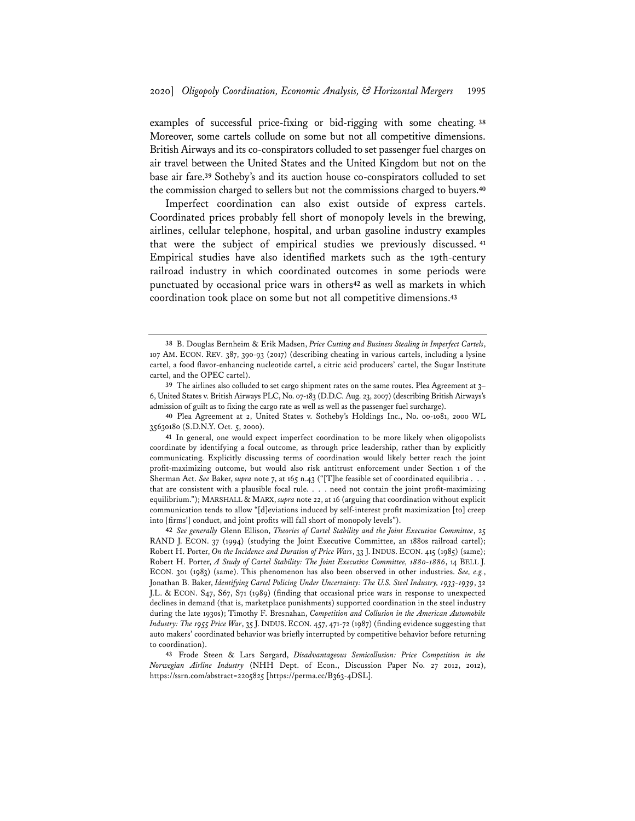examples of successful price-fixing or bid-rigging with some cheating. **<sup>38</sup>** Moreover, some cartels collude on some but not all competitive dimensions. British Airways and its co-conspirators colluded to set passenger fuel charges on air travel between the United States and the United Kingdom but not on the base air fare.**<sup>39</sup>** Sotheby's and its auction house co-conspirators colluded to set the commission charged to sellers but not the commissions charged to buyers.**<sup>40</sup>**

Imperfect coordination can also exist outside of express cartels. Coordinated prices probably fell short of monopoly levels in the brewing, airlines, cellular telephone, hospital, and urban gasoline industry examples that were the subject of empirical studies we previously discussed. **<sup>41</sup>** Empirical studies have also identified markets such as the 19th-century railroad industry in which coordinated outcomes in some periods were punctuated by occasional price wars in others**<sup>42</sup>** as well as markets in which coordination took place on some but not all competitive dimensions.**<sup>43</sup>**

**<sup>38</sup>** B. Douglas Bernheim & Erik Madsen, *Price Cutting and Business Stealing in Imperfect Cartels*, 107 AM. ECON. REV. 387, 390-93 (2017) (describing cheating in various cartels, including a lysine cartel, a food flavor-enhancing nucleotide cartel, a citric acid producers' cartel, the Sugar Institute cartel, and the OPEC cartel).

**<sup>39</sup>** The airlines also colluded to set cargo shipment rates on the same routes. Plea Agreement at 3– 6, United States v. British Airways PLC, No. 07-183 (D.D.C. Aug. 23, 2007) (describing British Airways's admission of guilt as to fixing the cargo rate as well as well as the passenger fuel surcharge).

**<sup>40</sup>** Plea Agreement at 2, United States v. Sotheby's Holdings Inc., No. 00-1081, 2000 WL 35630180 (S.D.N.Y. Oct. 5, 2000).

**<sup>41</sup>** In general, one would expect imperfect coordination to be more likely when oligopolists coordinate by identifying a focal outcome, as through price leadership, rather than by explicitly communicating. Explicitly discussing terms of coordination would likely better reach the joint profit-maximizing outcome, but would also risk antitrust enforcement under Section 1 of the Sherman Act. *See* Baker, *supra* note 7, at 165 n.43 ("[T]he feasible set of coordinated equilibria . . . that are consistent with a plausible focal rule. . . . need not contain the joint profit-maximizing equilibrium."); MARSHALL & MARX, *supra* note 22, at 16 (arguing that coordination without explicit communication tends to allow "[d]eviations induced by self-interest profit maximization [to] creep into [firms'] conduct, and joint profits will fall short of monopoly levels").

**<sup>42</sup>** *See generally* Glenn Ellison, *Theories of Cartel Stability and the Joint Executive Committee*, 25 RAND J. ECON. 37 (1994) (studying the Joint Executive Committee, an 1880s railroad cartel); Robert H. Porter, *On the Incidence and Duration of Price Wars*, 33 J. INDUS. ECON. 415 (1985) (same); Robert H. Porter, *A Study of Cartel Stability: The Joint Executive Committee, 1880-1886*, 14 BELL J. ECON. 301 (1983) (same). This phenomenon has also been observed in other industries. *See, e.g.*, Jonathan B. Baker, *Identifying Cartel Policing Under Uncertainty: The U.S. Steel Industry, 1933-1939*, 32 J.L. & ECON. S47, S67, S71 (1989) (finding that occasional price wars in response to unexpected declines in demand (that is, marketplace punishments) supported coordination in the steel industry during the late 1930s); Timothy F. Bresnahan, *Competition and Collusion in the American Automobile Industry: The 1955 Price War*, 35 J.INDUS. ECON. 457, 471-72 (1987) (finding evidence suggesting that auto makers' coordinated behavior was briefly interrupted by competitive behavior before returning to coordination).

**<sup>43</sup>** Frode Steen & Lars Sørgard, *Disadvantageous Semicollusion: Price Competition in the Norwegian Airline Industry* (NHH Dept. of Econ., Discussion Paper No. 27 2012, 2012), https://ssrn.com/abstract=2205825 [https://perma.cc/B363-4DSL].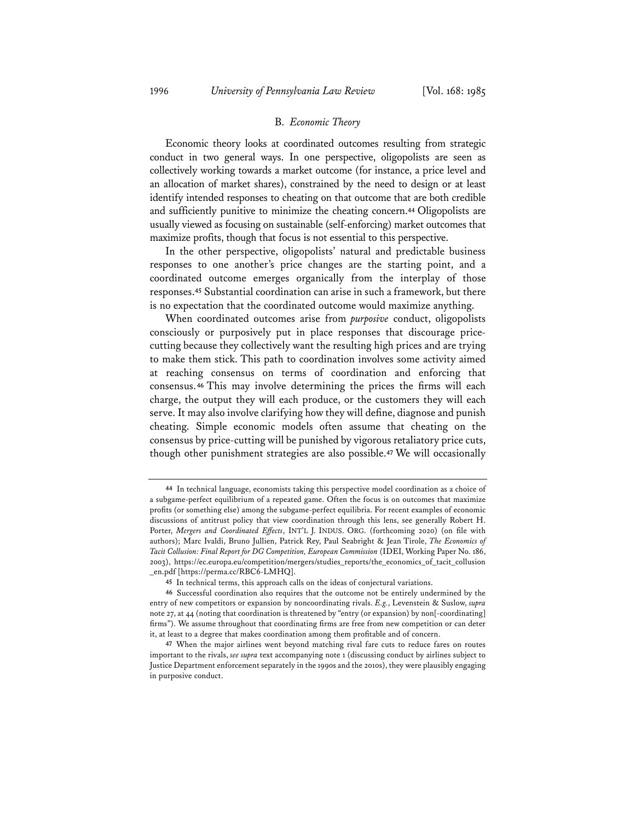#### B. *Economic Theory*

Economic theory looks at coordinated outcomes resulting from strategic conduct in two general ways. In one perspective, oligopolists are seen as collectively working towards a market outcome (for instance, a price level and an allocation of market shares), constrained by the need to design or at least identify intended responses to cheating on that outcome that are both credible and sufficiently punitive to minimize the cheating concern.**<sup>44</sup>** Oligopolists are usually viewed as focusing on sustainable (self-enforcing) market outcomes that maximize profits, though that focus is not essential to this perspective.

In the other perspective, oligopolists' natural and predictable business responses to one another's price changes are the starting point, and a coordinated outcome emerges organically from the interplay of those responses.**<sup>45</sup>** Substantial coordination can arise in such a framework, but there is no expectation that the coordinated outcome would maximize anything.

When coordinated outcomes arise from *purposive* conduct, oligopolists consciously or purposively put in place responses that discourage pricecutting because they collectively want the resulting high prices and are trying to make them stick. This path to coordination involves some activity aimed at reaching consensus on terms of coordination and enforcing that consensus.**<sup>46</sup>** This may involve determining the prices the firms will each charge, the output they will each produce, or the customers they will each serve. It may also involve clarifying how they will define, diagnose and punish cheating. Simple economic models often assume that cheating on the consensus by price-cutting will be punished by vigorous retaliatory price cuts, though other punishment strategies are also possible.**<sup>47</sup>** We will occasionally

**<sup>44</sup>** In technical language, economists taking this perspective model coordination as a choice of a subgame-perfect equilibrium of a repeated game. Often the focus is on outcomes that maximize profits (or something else) among the subgame-perfect equilibria. For recent examples of economic discussions of antitrust policy that view coordination through this lens, see generally Robert H. Porter, *Mergers and Coordinated Effects*, INT'L J. INDUS. ORG. (forthcoming 2020) (on file with authors); Marc Ivaldi, Bruno Jullien, Patrick Rey, Paul Seabright & Jean Tirole, *The Economics of Tacit Collusion: Final Report for DG Competition, European Commission* (IDEI, Working Paper No. 186, 2003), https://ec.europa.eu/competition/mergers/studies\_reports/the\_economics\_of\_tacit\_collusion \_en.pdf [https://perma.cc/RBC6-LMHQ].

**<sup>45</sup>** In technical terms, this approach calls on the ideas of conjectural variations.

**<sup>46</sup>** Successful coordination also requires that the outcome not be entirely undermined by the entry of new competitors or expansion by noncoordinating rivals. *E.g.*, Levenstein & Suslow, *supra* note 27, at 44 (noting that coordination is threatened by "entry (or expansion) by non[-coordinating] firms"). We assume throughout that coordinating firms are free from new competition or can deter it, at least to a degree that makes coordination among them profitable and of concern.

**<sup>47</sup>** When the major airlines went beyond matching rival fare cuts to reduce fares on routes important to the rivals, *see supra* text accompanying note 1 (discussing conduct by airlines subject to Justice Department enforcement separately in the 1990s and the 2010s), they were plausibly engaging in purposive conduct.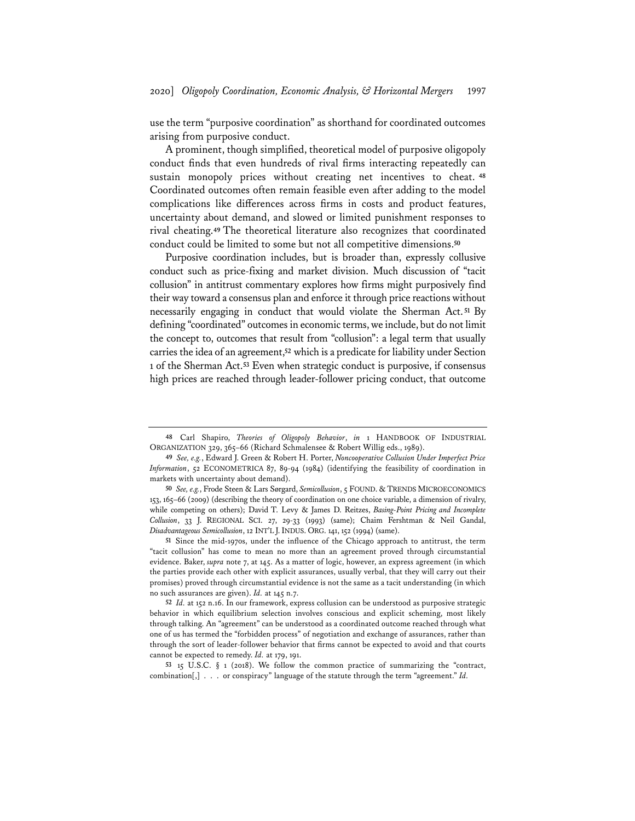use the term "purposive coordination" as shorthand for coordinated outcomes arising from purposive conduct.

A prominent, though simplified, theoretical model of purposive oligopoly conduct finds that even hundreds of rival firms interacting repeatedly can sustain monopoly prices without creating net incentives to cheat. **<sup>48</sup>** Coordinated outcomes often remain feasible even after adding to the model complications like differences across firms in costs and product features, uncertainty about demand, and slowed or limited punishment responses to rival cheating.**<sup>49</sup>** The theoretical literature also recognizes that coordinated conduct could be limited to some but not all competitive dimensions.**<sup>50</sup>**

Purposive coordination includes, but is broader than, expressly collusive conduct such as price-fixing and market division. Much discussion of "tacit collusion" in antitrust commentary explores how firms might purposively find their way toward a consensus plan and enforce it through price reactions without necessarily engaging in conduct that would violate the Sherman Act. **<sup>51</sup>** By defining "coordinated" outcomes in economic terms, we include, but do not limit the concept to, outcomes that result from "collusion": a legal term that usually carries the idea of an agreement,**<sup>52</sup>** which is a predicate for liability under Section 1 of the Sherman Act.**<sup>53</sup>** Even when strategic conduct is purposive, if consensus high prices are reached through leader-follower pricing conduct, that outcome

**51** Since the mid-1970s, under the influence of the Chicago approach to antitrust, the term "tacit collusion" has come to mean no more than an agreement proved through circumstantial evidence. Baker, *supra* note 7, at 145. As a matter of logic, however, an express agreement (in which the parties provide each other with explicit assurances, usually verbal, that they will carry out their promises) proved through circumstantial evidence is not the same as a tacit understanding (in which no such assurances are given). *Id.* at 145 n.7.

**52** *Id.* at 152 n.16. In our framework, express collusion can be understood as purposive strategic behavior in which equilibrium selection involves conscious and explicit scheming, most likely through talking. An "agreement" can be understood as a coordinated outcome reached through what one of us has termed the "forbidden process" of negotiation and exchange of assurances, rather than through the sort of leader-follower behavior that firms cannot be expected to avoid and that courts cannot be expected to remedy. *Id.* at 179, 191.

**53** 15 U.S.C. § 1 (2018). We follow the common practice of summarizing the "contract, combination[,] . . . or conspiracy" language of the statute through the term "agreement." *Id.*

**<sup>48</sup>** Carl Shapiro, *Theories of Oligopoly Behavior*, *in* 1 HANDBOOK OF INDUSTRIAL ORGANIZATION 329, 365–66 (Richard Schmalensee & Robert Willig eds., 1989).

**<sup>49</sup>** *See, e.g.*, Edward J. Green & Robert H. Porter, *Noncooperative Collusion Under Imperfect Price Information*, 52 ECONOMETRICA 87, 89-94 (1984) (identifying the feasibility of coordination in markets with uncertainty about demand).

**<sup>50</sup>** *See, e.g.*, Frode Steen & Lars Sørgard, *Semicollusion*, 5 FOUND. & TRENDS MICROECONOMICS 153, 165–66 (2009) (describing the theory of coordination on one choice variable, a dimension of rivalry, while competing on others); David T. Levy & James D. Reitzes, *Basing-Point Pricing and Incomplete Collusion*, 33 J. REGIONAL SCI. 27, 29-33 (1993) (same); Chaim Fershtman & Neil Gandal, *Disadvantageous Semicollusion*, 12 INT'L J.INDUS. ORG. 141, 152 (1994) (same).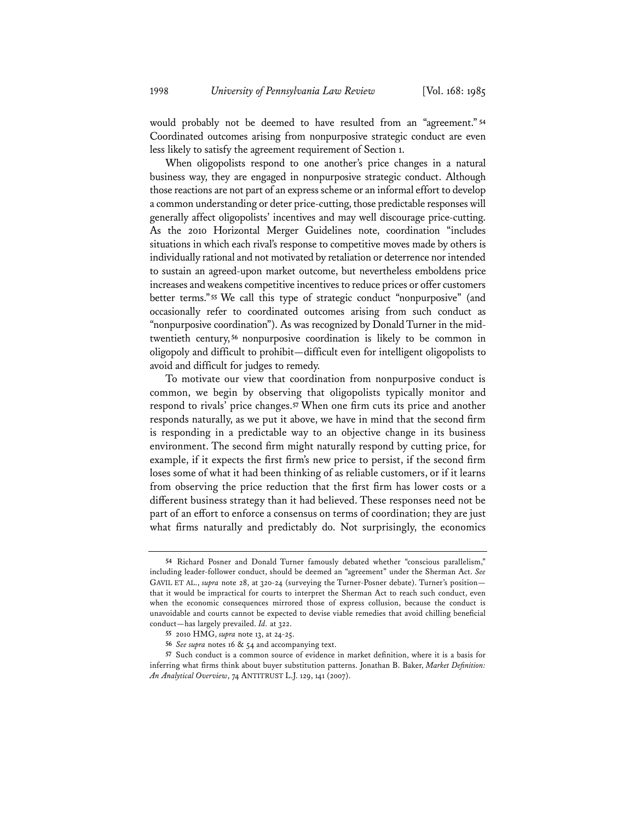would probably not be deemed to have resulted from an "agreement." **<sup>54</sup>** Coordinated outcomes arising from nonpurposive strategic conduct are even less likely to satisfy the agreement requirement of Section 1.

When oligopolists respond to one another's price changes in a natural business way, they are engaged in nonpurposive strategic conduct. Although those reactions are not part of an express scheme or an informal effort to develop a common understanding or deter price-cutting, those predictable responses will generally affect oligopolists' incentives and may well discourage price-cutting. As the 2010 Horizontal Merger Guidelines note, coordination "includes situations in which each rival's response to competitive moves made by others is individually rational and not motivated by retaliation or deterrence nor intended to sustain an agreed-upon market outcome, but nevertheless emboldens price increases and weakens competitive incentives to reduce prices or offer customers better terms." **<sup>55</sup>** We call this type of strategic conduct "nonpurposive" (and occasionally refer to coordinated outcomes arising from such conduct as "nonpurposive coordination"). As was recognized by Donald Turner in the midtwentieth century, **<sup>56</sup>** nonpurposive coordination is likely to be common in oligopoly and difficult to prohibit—difficult even for intelligent oligopolists to avoid and difficult for judges to remedy.

To motivate our view that coordination from nonpurposive conduct is common, we begin by observing that oligopolists typically monitor and respond to rivals' price changes.**<sup>57</sup>** When one firm cuts its price and another responds naturally, as we put it above, we have in mind that the second firm is responding in a predictable way to an objective change in its business environment. The second firm might naturally respond by cutting price, for example, if it expects the first firm's new price to persist, if the second firm loses some of what it had been thinking of as reliable customers, or if it learns from observing the price reduction that the first firm has lower costs or a different business strategy than it had believed. These responses need not be part of an effort to enforce a consensus on terms of coordination; they are just what firms naturally and predictably do. Not surprisingly, the economics

**<sup>54</sup>** Richard Posner and Donald Turner famously debated whether "conscious parallelism," including leader-follower conduct, should be deemed an "agreement" under the Sherman Act. *See* GAVIL ET AL., *supra* note 28, at 320-24 (surveying the Turner-Posner debate). Turner's position that it would be impractical for courts to interpret the Sherman Act to reach such conduct, even when the economic consequences mirrored those of express collusion, because the conduct is unavoidable and courts cannot be expected to devise viable remedies that avoid chilling beneficial conduct—has largely prevailed. *Id.* at 322.

**<sup>55</sup>** 2010 HMG, *supra* note 13, at 24-25.

**<sup>56</sup>** *See supra* notes 16 & 54 and accompanying text.

**<sup>57</sup>** Such conduct is a common source of evidence in market definition, where it is a basis for inferring what firms think about buyer substitution patterns. Jonathan B. Baker, *Market Definition: An Analytical Overview*, 74 ANTITRUST L.J. 129, 141 (2007).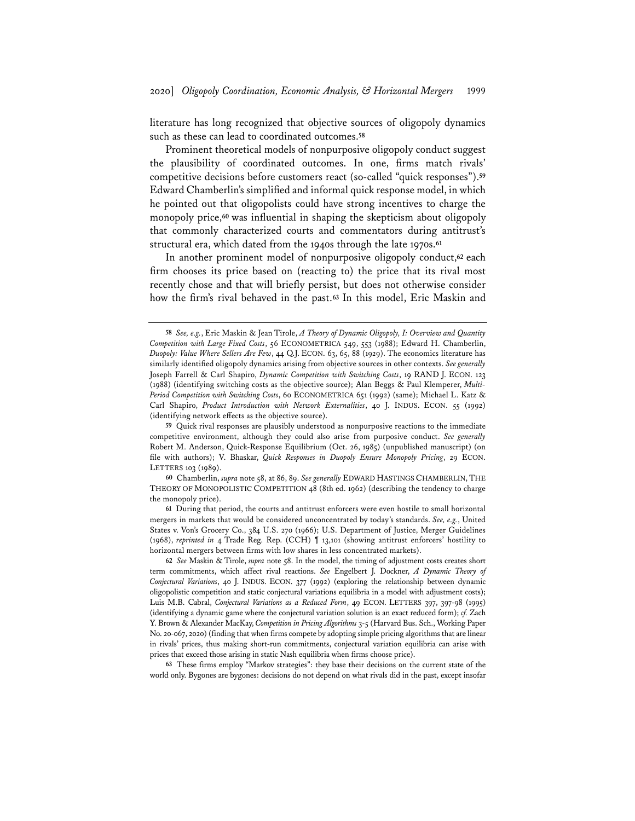literature has long recognized that objective sources of oligopoly dynamics such as these can lead to coordinated outcomes.**<sup>58</sup>**

Prominent theoretical models of nonpurposive oligopoly conduct suggest the plausibility of coordinated outcomes. In one, firms match rivals' competitive decisions before customers react (so-called "quick responses").**<sup>59</sup>** Edward Chamberlin's simplified and informal quick response model, in which he pointed out that oligopolists could have strong incentives to charge the monopoly price,**<sup>60</sup>** was influential in shaping the skepticism about oligopoly that commonly characterized courts and commentators during antitrust's structural era, which dated from the 1940s through the late 1970s.**<sup>61</sup>**

In another prominent model of nonpurposive oligopoly conduct,**<sup>62</sup>** each firm chooses its price based on (reacting to) the price that its rival most recently chose and that will briefly persist, but does not otherwise consider how the firm's rival behaved in the past.**<sup>63</sup>** In this model, Eric Maskin and

**63** These firms employ "Markov strategies": they base their decisions on the current state of the world only. Bygones are bygones: decisions do not depend on what rivals did in the past, except insofar

**<sup>58</sup>** *See, e.g.*, Eric Maskin & Jean Tirole, *A Theory of Dynamic Oligopoly, I: Overview and Quantity Competition with Large Fixed Costs*, 56 ECONOMETRICA 549, 553 (1988); Edward H. Chamberlin, *Duopoly: Value Where Sellers Are Few*, 44 Q.J. ECON. 63, 65, 88 (1929). The economics literature has similarly identified oligopoly dynamics arising from objective sources in other contexts. *See generally* Joseph Farrell & Carl Shapiro, *Dynamic Competition with Switching Costs*, 19 RAND J. ECON. 123 (1988) (identifying switching costs as the objective source); Alan Beggs & Paul Klemperer, *Multi-Period Competition with Switching Costs*, 60 ECONOMETRICA 651 (1992) (same); Michael L. Katz & Carl Shapiro, *Product Introduction with Network Externalities*, 40 J. INDUS. ECON. 55 (1992) (identifying network effects as the objective source).

**<sup>59</sup>** Quick rival responses are plausibly understood as nonpurposive reactions to the immediate competitive environment, although they could also arise from purposive conduct. *See generally* Robert M. Anderson, Quick-Response Equilibrium (Oct. 26, 1985) (unpublished manuscript) (on file with authors); V. Bhaskar, *Quick Responses in Duopoly Ensure Monopoly Pricing*, 29 ECON. LETTERS 103 (1989).

**<sup>60</sup>** Chamberlin, *supra* note 58, at 86, 89. *See generally* EDWARD HASTINGS CHAMBERLIN, THE THEORY OF MONOPOLISTIC COMPETITION 48 (8th ed. 1962) (describing the tendency to charge the monopoly price).

**<sup>61</sup>** During that period, the courts and antitrust enforcers were even hostile to small horizontal mergers in markets that would be considered unconcentrated by today's standards. *See, e.g.*, United States v. Von's Grocery Co., 384 U.S. 270 (1966); U.S. Department of Justice, Merger Guidelines (1968), *reprinted in* 4 Trade Reg. Rep. (CCH) ¶ 13,101 (showing antitrust enforcers' hostility to horizontal mergers between firms with low shares in less concentrated markets).

**<sup>62</sup>** *See* Maskin & Tirole, *supra* note 58. In the model, the timing of adjustment costs creates short term commitments, which affect rival reactions. *See* Engelbert J. Dockner, *A Dynamic Theory of Conjectural Variations*, 40 J. INDUS. ECON. 377 (1992) (exploring the relationship between dynamic oligopolistic competition and static conjectural variations equilibria in a model with adjustment costs); Luis M.B. Cabral, *Conjectural Variations as a Reduced Form*, 49 ECON. LETTERS 397, 397-98 (1995) (identifying a dynamic game where the conjectural variation solution is an exact reduced form); *cf.* Zach Y. Brown & Alexander MacKay, *Competition in Pricing Algorithms* 3-5 (Harvard Bus. Sch., Working Paper No. 20-067, 2020) (finding that when firms compete by adopting simple pricing algorithms that are linear in rivals' prices, thus making short-run commitments, conjectural variation equilibria can arise with prices that exceed those arising in static Nash equilibria when firms choose price).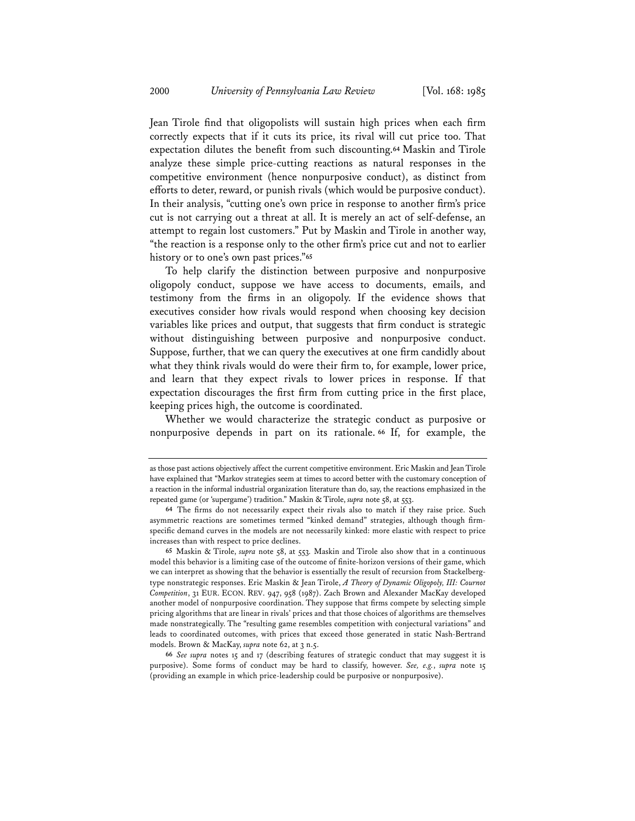Jean Tirole find that oligopolists will sustain high prices when each firm correctly expects that if it cuts its price, its rival will cut price too. That expectation dilutes the benefit from such discounting.**<sup>64</sup>** Maskin and Tirole analyze these simple price-cutting reactions as natural responses in the competitive environment (hence nonpurposive conduct), as distinct from efforts to deter, reward, or punish rivals (which would be purposive conduct). In their analysis, "cutting one's own price in response to another firm's price cut is not carrying out a threat at all. It is merely an act of self-defense, an attempt to regain lost customers." Put by Maskin and Tirole in another way, "the reaction is a response only to the other firm's price cut and not to earlier history or to one's own past prices."**<sup>65</sup>**

To help clarify the distinction between purposive and nonpurposive oligopoly conduct, suppose we have access to documents, emails, and testimony from the firms in an oligopoly. If the evidence shows that executives consider how rivals would respond when choosing key decision variables like prices and output, that suggests that firm conduct is strategic without distinguishing between purposive and nonpurposive conduct. Suppose, further, that we can query the executives at one firm candidly about what they think rivals would do were their firm to, for example, lower price, and learn that they expect rivals to lower prices in response. If that expectation discourages the first firm from cutting price in the first place, keeping prices high, the outcome is coordinated.

Whether we would characterize the strategic conduct as purposive or nonpurposive depends in part on its rationale. **<sup>66</sup>** If, for example, the

**66** *See supra* notes 15 and 17 (describing features of strategic conduct that may suggest it is purposive). Some forms of conduct may be hard to classify, however. *See, e.g.*, *supra* note 15 (providing an example in which price-leadership could be purposive or nonpurposive).

as those past actions objectively affect the current competitive environment. Eric Maskin and Jean Tirole have explained that "Markov strategies seem at times to accord better with the customary conception of a reaction in the informal industrial organization literature than do, say, the reactions emphasized in the repeated game (or 'supergame') tradition." Maskin & Tirole, *supra* note 58, at 553.

**<sup>64</sup>** The firms do not necessarily expect their rivals also to match if they raise price. Such asymmetric reactions are sometimes termed "kinked demand" strategies, although though firmspecific demand curves in the models are not necessarily kinked: more elastic with respect to price increases than with respect to price declines.

**<sup>65</sup>** Maskin & Tirole, *supra* note 58, at 553*.* Maskin and Tirole also show that in a continuous model this behavior is a limiting case of the outcome of finite-horizon versions of their game, which we can interpret as showing that the behavior is essentially the result of recursion from Stackelbergtype nonstrategic responses. Eric Maskin & Jean Tirole, *A Theory of Dynamic Oligopoly, III: Cournot Competition*, 31 EUR. ECON. REV. 947, 958 (1987). Zach Brown and Alexander MacKay developed another model of nonpurposive coordination. They suppose that firms compete by selecting simple pricing algorithms that are linear in rivals' prices and that those choices of algorithms are themselves made nonstrategically. The "resulting game resembles competition with conjectural variations" and leads to coordinated outcomes, with prices that exceed those generated in static Nash-Bertrand models. Brown & MacKay, *supra* note 62, at 3 n.5.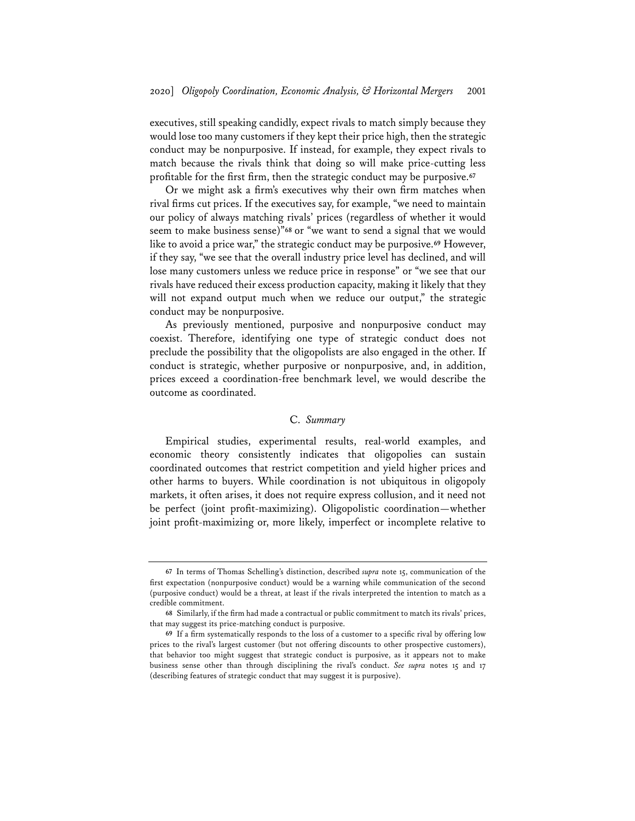executives, still speaking candidly, expect rivals to match simply because they would lose too many customers if they kept their price high, then the strategic conduct may be nonpurposive. If instead, for example, they expect rivals to match because the rivals think that doing so will make price-cutting less profitable for the first firm, then the strategic conduct may be purposive.**<sup>67</sup>**

Or we might ask a firm's executives why their own firm matches when rival firms cut prices. If the executives say, for example, "we need to maintain our policy of always matching rivals' prices (regardless of whether it would seem to make business sense)"**<sup>68</sup>** or "we want to send a signal that we would like to avoid a price war," the strategic conduct may be purposive.**<sup>69</sup>** However, if they say, "we see that the overall industry price level has declined, and will lose many customers unless we reduce price in response" or "we see that our rivals have reduced their excess production capacity, making it likely that they will not expand output much when we reduce our output," the strategic conduct may be nonpurposive.

As previously mentioned, purposive and nonpurposive conduct may coexist. Therefore, identifying one type of strategic conduct does not preclude the possibility that the oligopolists are also engaged in the other. If conduct is strategic, whether purposive or nonpurposive, and, in addition, prices exceed a coordination-free benchmark level, we would describe the outcome as coordinated.

# C. *Summary*

Empirical studies, experimental results, real-world examples, and economic theory consistently indicates that oligopolies can sustain coordinated outcomes that restrict competition and yield higher prices and other harms to buyers. While coordination is not ubiquitous in oligopoly markets, it often arises, it does not require express collusion, and it need not be perfect (joint profit-maximizing). Oligopolistic coordination—whether joint profit-maximizing or, more likely, imperfect or incomplete relative to

**<sup>67</sup>** In terms of Thomas Schelling's distinction, described *supra* note 15, communication of the first expectation (nonpurposive conduct) would be a warning while communication of the second (purposive conduct) would be a threat, at least if the rivals interpreted the intention to match as a credible commitment.

**<sup>68</sup>** Similarly, if the firm had made a contractual or public commitment to match its rivals' prices, that may suggest its price-matching conduct is purposive.

**<sup>69</sup>** If a firm systematically responds to the loss of a customer to a specific rival by offering low prices to the rival's largest customer (but not offering discounts to other prospective customers), that behavior too might suggest that strategic conduct is purposive, as it appears not to make business sense other than through disciplining the rival's conduct. *See supra* notes 15 and 17 (describing features of strategic conduct that may suggest it is purposive).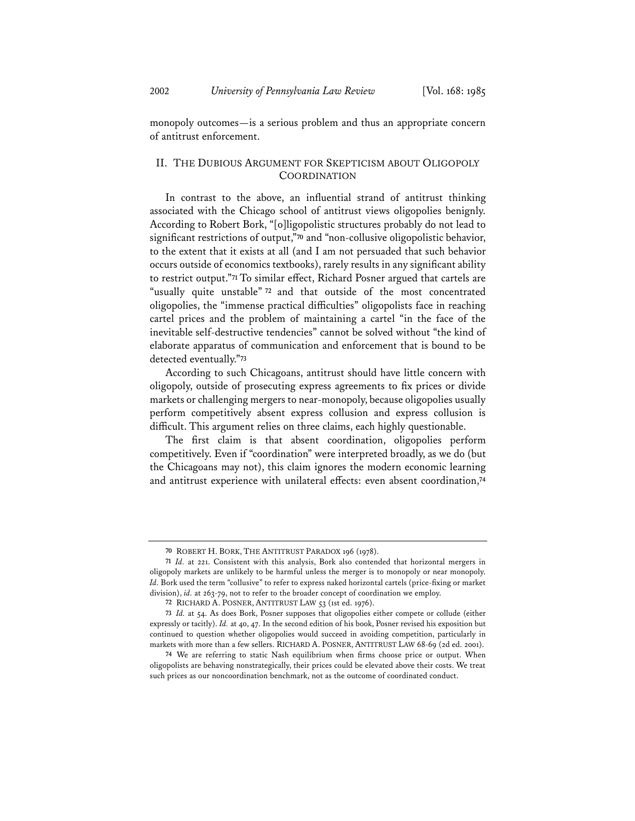monopoly outcomes—is a serious problem and thus an appropriate concern of antitrust enforcement.

# II. THE DUBIOUS ARGUMENT FOR SKEPTICISM ABOUT OLIGOPOLY **COORDINATION**

In contrast to the above, an influential strand of antitrust thinking associated with the Chicago school of antitrust views oligopolies benignly. According to Robert Bork, "[o]ligopolistic structures probably do not lead to significant restrictions of output,"**<sup>70</sup>** and "non-collusive oligopolistic behavior, to the extent that it exists at all (and I am not persuaded that such behavior occurs outside of economics textbooks), rarely results in any significant ability to restrict output."**<sup>71</sup>** To similar effect, Richard Posner argued that cartels are "usually quite unstable" **<sup>72</sup>** and that outside of the most concentrated oligopolies, the "immense practical difficulties" oligopolists face in reaching cartel prices and the problem of maintaining a cartel "in the face of the inevitable self-destructive tendencies" cannot be solved without "the kind of elaborate apparatus of communication and enforcement that is bound to be detected eventually."**<sup>73</sup>**

According to such Chicagoans, antitrust should have little concern with oligopoly, outside of prosecuting express agreements to fix prices or divide markets or challenging mergers to near-monopoly, because oligopolies usually perform competitively absent express collusion and express collusion is difficult. This argument relies on three claims, each highly questionable.

The first claim is that absent coordination, oligopolies perform competitively. Even if "coordination" were interpreted broadly, as we do (but the Chicagoans may not), this claim ignores the modern economic learning and antitrust experience with unilateral effects: even absent coordination,**<sup>74</sup>**

**<sup>70</sup>** ROBERT H. BORK, THE ANTITRUST PARADOX 196 (1978).

**<sup>71</sup>** *Id.* at 221. Consistent with this analysis, Bork also contended that horizontal mergers in oligopoly markets are unlikely to be harmful unless the merger is to monopoly or near monopoly. *Id.* Bork used the term "collusive" to refer to express naked horizontal cartels (price-fixing or market division), *id.* at 263-79, not to refer to the broader concept of coordination we employ.

**<sup>72</sup>** RICHARD A. POSNER, ANTITRUST LAW 53 (1st ed. 1976).

**<sup>73</sup>** *Id.* at 54. As does Bork, Posner supposes that oligopolies either compete or collude (either expressly or tacitly). *Id.* at 40, 47. In the second edition of his book, Posner revised his exposition but continued to question whether oligopolies would succeed in avoiding competition, particularly in markets with more than a few sellers. RICHARD A. POSNER, ANTITRUST LAW 68-69 (2d ed. 2001).

**<sup>74</sup>** We are referring to static Nash equilibrium when firms choose price or output. When oligopolists are behaving nonstrategically, their prices could be elevated above their costs. We treat such prices as our noncoordination benchmark, not as the outcome of coordinated conduct.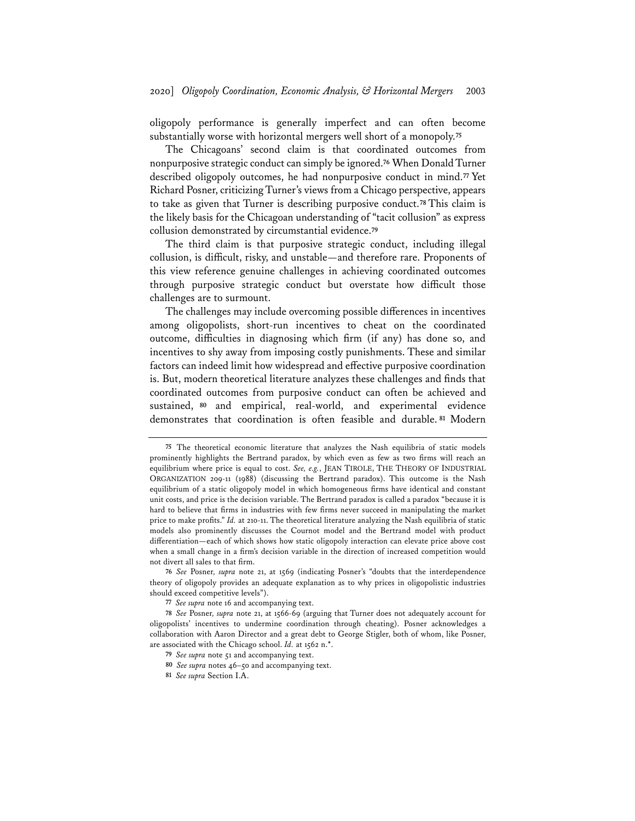oligopoly performance is generally imperfect and can often become substantially worse with horizontal mergers well short of a monopoly.**<sup>75</sup>**

The Chicagoans' second claim is that coordinated outcomes from nonpurposive strategic conduct can simply be ignored.**<sup>76</sup>** When Donald Turner described oligopoly outcomes, he had nonpurposive conduct in mind.**<sup>77</sup>** Yet Richard Posner, criticizing Turner's views from a Chicago perspective, appears to take as given that Turner is describing purposive conduct.**<sup>78</sup>** This claim is the likely basis for the Chicagoan understanding of "tacit collusion" as express collusion demonstrated by circumstantial evidence.**<sup>79</sup>**

The third claim is that purposive strategic conduct, including illegal collusion, is difficult, risky, and unstable—and therefore rare. Proponents of this view reference genuine challenges in achieving coordinated outcomes through purposive strategic conduct but overstate how difficult those challenges are to surmount.

The challenges may include overcoming possible differences in incentives among oligopolists, short-run incentives to cheat on the coordinated outcome, difficulties in diagnosing which firm (if any) has done so, and incentives to shy away from imposing costly punishments. These and similar factors can indeed limit how widespread and effective purposive coordination is. But, modern theoretical literature analyzes these challenges and finds that coordinated outcomes from purposive conduct can often be achieved and sustained, **<sup>80</sup>** and empirical, real-world, and experimental evidence demonstrates that coordination is often feasible and durable. **<sup>81</sup>** Modern

**<sup>75</sup>** The theoretical economic literature that analyzes the Nash equilibria of static models prominently highlights the Bertrand paradox, by which even as few as two firms will reach an equilibrium where price is equal to cost. *See, e.g.*, JEAN TIROLE, THE THEORY OF INDUSTRIAL ORGANIZATION 209-11 (1988) (discussing the Bertrand paradox). This outcome is the Nash equilibrium of a static oligopoly model in which homogeneous firms have identical and constant unit costs, and price is the decision variable. The Bertrand paradox is called a paradox "because it is hard to believe that firms in industries with few firms never succeed in manipulating the market price to make profits." *Id.* at 210-11. The theoretical literature analyzing the Nash equilibria of static models also prominently discusses the Cournot model and the Bertrand model with product differentiation—each of which shows how static oligopoly interaction can elevate price above cost when a small change in a firm's decision variable in the direction of increased competition would not divert all sales to that firm.

**<sup>76</sup>** *See* Posner*, supra* note 21, at 1569 (indicating Posner's "doubts that the interdependence theory of oligopoly provides an adequate explanation as to why prices in oligopolistic industries should exceed competitive levels").

**<sup>77</sup>** *See supra* note 16 and accompanying text.

**<sup>78</sup>** *See* Posner*, supra* note 21, at 1566-69 (arguing that Turner does not adequately account for oligopolists' incentives to undermine coordination through cheating). Posner acknowledges a collaboration with Aaron Director and a great debt to George Stigler, both of whom, like Posner, are associated with the Chicago school. *Id.* at 1562 n.\*.

**<sup>79</sup>** *See supra* note 51 and accompanying text.

**<sup>80</sup>** *See supra* notes 46–50 and accompanying text.

**<sup>81</sup>** *See supra* Section I.A.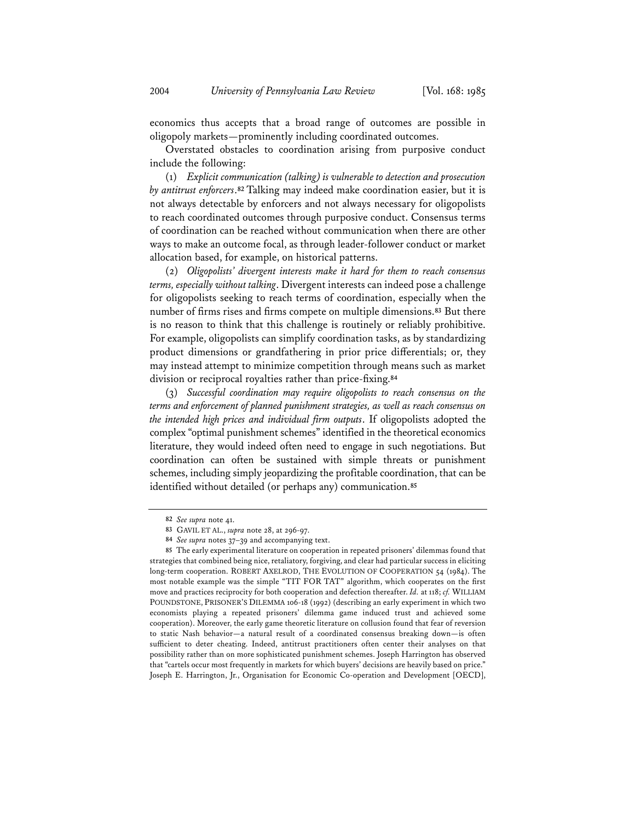economics thus accepts that a broad range of outcomes are possible in oligopoly markets—prominently including coordinated outcomes.

Overstated obstacles to coordination arising from purposive conduct include the following:

(1) *Explicit communication (talking) is vulnerable to detection and prosecution by antitrust enforcers*.**<sup>82</sup>** Talking may indeed make coordination easier, but it is not always detectable by enforcers and not always necessary for oligopolists to reach coordinated outcomes through purposive conduct. Consensus terms of coordination can be reached without communication when there are other ways to make an outcome focal, as through leader-follower conduct or market allocation based, for example, on historical patterns.

(2) *Oligopolists' divergent interests make it hard for them to reach consensus terms, especially without talking*. Divergent interests can indeed pose a challenge for oligopolists seeking to reach terms of coordination, especially when the number of firms rises and firms compete on multiple dimensions.**<sup>83</sup>** But there is no reason to think that this challenge is routinely or reliably prohibitive. For example, oligopolists can simplify coordination tasks, as by standardizing product dimensions or grandfathering in prior price differentials; or, they may instead attempt to minimize competition through means such as market division or reciprocal royalties rather than price-fixing.**<sup>84</sup>**

(3) *Successful coordination may require oligopolists to reach consensus on the terms and enforcement of planned punishment strategies, as well as reach consensus on the intended high prices and individual firm outputs*. If oligopolists adopted the complex "optimal punishment schemes" identified in the theoretical economics literature, they would indeed often need to engage in such negotiations. But coordination can often be sustained with simple threats or punishment schemes, including simply jeopardizing the profitable coordination, that can be identified without detailed (or perhaps any) communication.**<sup>85</sup>**

**<sup>82</sup>** *See supra* note 41.

**<sup>83</sup>** GAVIL ET AL., *supra* note 28, at 296-97.

**<sup>84</sup>** *See supra* notes 37–39 and accompanying text.

**<sup>85</sup>** The early experimental literature on cooperation in repeated prisoners' dilemmas found that strategies that combined being nice, retaliatory, forgiving, and clear had particular success in eliciting long-term cooperation. ROBERT AXELROD, THE EVOLUTION OF COOPERATION 54 (1984). The most notable example was the simple "TIT FOR TAT" algorithm, which cooperates on the first move and practices reciprocity for both cooperation and defection thereafter. *Id.* at 118; *cf.* WILLIAM POUNDSTONE, PRISONER'S DILEMMA 106-18 (1992) (describing an early experiment in which two economists playing a repeated prisoners' dilemma game induced trust and achieved some cooperation). Moreover, the early game theoretic literature on collusion found that fear of reversion to static Nash behavior—a natural result of a coordinated consensus breaking down—is often sufficient to deter cheating. Indeed, antitrust practitioners often center their analyses on that possibility rather than on more sophisticated punishment schemes. Joseph Harrington has observed that "cartels occur most frequently in markets for which buyers' decisions are heavily based on price." Joseph E. Harrington, Jr., Organisation for Economic Co-operation and Development [OECD],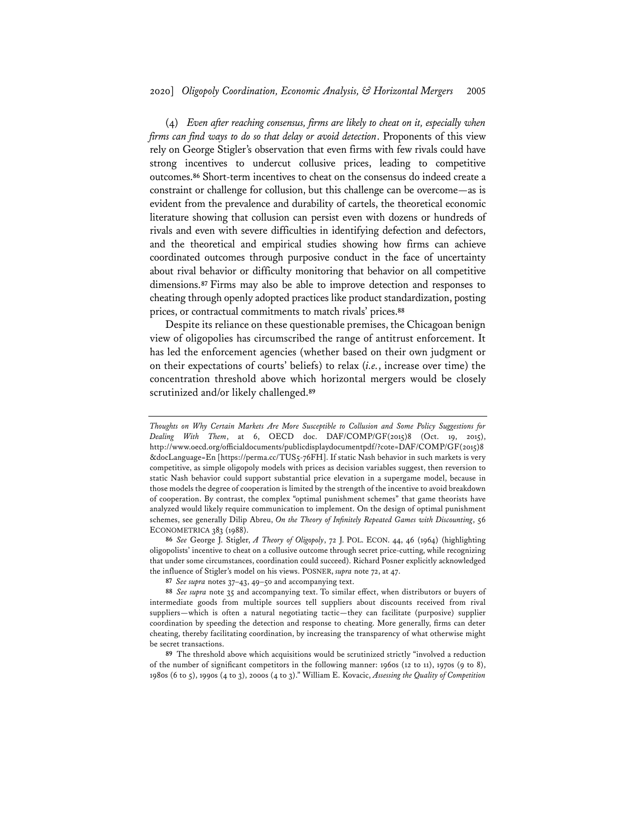(4) *Even after reaching consensus, firms are likely to cheat on it, especially when firms can find ways to do so that delay or avoid detection*. Proponents of this view rely on George Stigler's observation that even firms with few rivals could have strong incentives to undercut collusive prices, leading to competitive outcomes.**<sup>86</sup>** Short-term incentives to cheat on the consensus do indeed create a constraint or challenge for collusion, but this challenge can be overcome—as is evident from the prevalence and durability of cartels, the theoretical economic literature showing that collusion can persist even with dozens or hundreds of rivals and even with severe difficulties in identifying defection and defectors, and the theoretical and empirical studies showing how firms can achieve coordinated outcomes through purposive conduct in the face of uncertainty about rival behavior or difficulty monitoring that behavior on all competitive dimensions.**<sup>87</sup>** Firms may also be able to improve detection and responses to cheating through openly adopted practices like product standardization, posting prices, or contractual commitments to match rivals' prices.**<sup>88</sup>**

Despite its reliance on these questionable premises, the Chicagoan benign view of oligopolies has circumscribed the range of antitrust enforcement. It has led the enforcement agencies (whether based on their own judgment or on their expectations of courts' beliefs) to relax (*i.e.*, increase over time) the concentration threshold above which horizontal mergers would be closely scrutinized and/or likely challenged.**<sup>89</sup>**

*Thoughts on Why Certain Markets Are More Susceptible to Collusion and Some Policy Suggestions for Dealing With Them*, at 6, OECD doc. DAF/COMP/GF(2015)8 (Oct. 19, 2015), http://www.oecd.org/officialdocuments/publicdisplaydocumentpdf/?cote=DAF/COMP/GF(2015)8 &docLanguage=En [https://perma.cc/TUS5-76FH]. If static Nash behavior in such markets is very competitive, as simple oligopoly models with prices as decision variables suggest, then reversion to static Nash behavior could support substantial price elevation in a supergame model, because in those models the degree of cooperation is limited by the strength of the incentive to avoid breakdown of cooperation. By contrast, the complex "optimal punishment schemes" that game theorists have analyzed would likely require communication to implement. On the design of optimal punishment schemes, see generally Dilip Abreu, *On the Theory of Infinitely Repeated Games with Discounting*, 56 ECONOMETRICA 383 (1988).

**<sup>86</sup>** *See* George J. Stigler, *A Theory of Oligopoly*, 72 J. POL. ECON. 44, 46 (1964) (highlighting oligopolists' incentive to cheat on a collusive outcome through secret price-cutting, while recognizing that under some circumstances, coordination could succeed). Richard Posner explicitly acknowledged the influence of Stigler's model on his views. POSNER, *supra* note 72, at 47.

**<sup>87</sup>** *See supra* notes 37–43, 49–50 and accompanying text.

**<sup>88</sup>** *See supra* note 35 and accompanying text. To similar effect, when distributors or buyers of intermediate goods from multiple sources tell suppliers about discounts received from rival suppliers—which is often a natural negotiating tactic—they can facilitate (purposive) supplier coordination by speeding the detection and response to cheating. More generally, firms can deter cheating, thereby facilitating coordination, by increasing the transparency of what otherwise might be secret transactions.

**<sup>89</sup>** The threshold above which acquisitions would be scrutinized strictly "involved a reduction of the number of significant competitors in the following manner: 1960s (12 to 11), 1970s (9 to 8), 1980s (6 to 5), 1990s (4 to 3), 2000s (4 to 3)." William E. Kovacic, *Assessing the Quality of Competition*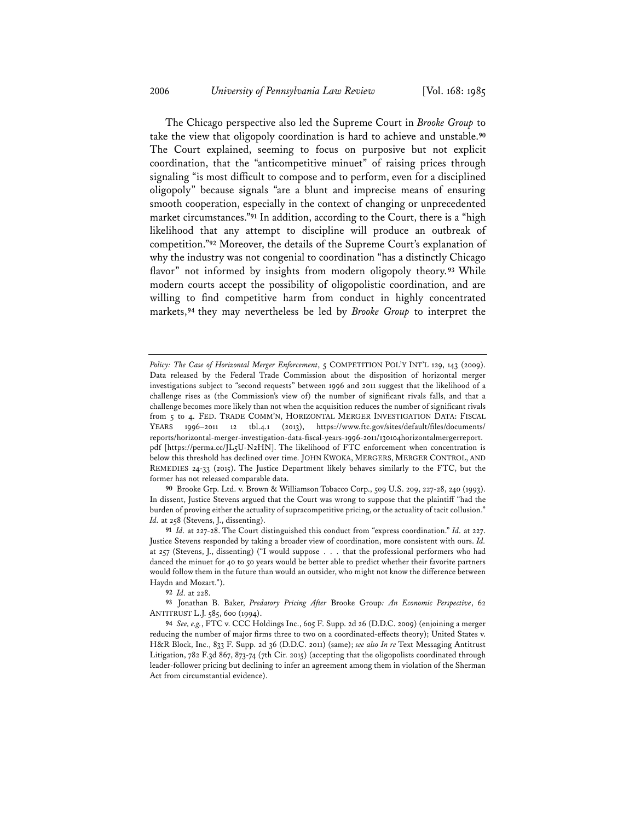The Chicago perspective also led the Supreme Court in *Brooke Group* to take the view that oligopoly coordination is hard to achieve and unstable.**<sup>90</sup>** The Court explained, seeming to focus on purposive but not explicit coordination, that the "anticompetitive minuet" of raising prices through signaling "is most difficult to compose and to perform, even for a disciplined oligopoly" because signals "are a blunt and imprecise means of ensuring smooth cooperation, especially in the context of changing or unprecedented market circumstances."**<sup>91</sup>** In addition, according to the Court, there is a "high likelihood that any attempt to discipline will produce an outbreak of competition."**<sup>92</sup>** Moreover, the details of the Supreme Court's explanation of why the industry was not congenial to coordination "has a distinctly Chicago flavor" not informed by insights from modern oligopoly theory. **<sup>93</sup>** While modern courts accept the possibility of oligopolistic coordination, and are willing to find competitive harm from conduct in highly concentrated markets,**<sup>94</sup>** they may nevertheless be led by *Brooke Group* to interpret the

**92** *Id.* at 228.

*Policy: The Case of Horizontal Merger Enforcement*, 5 COMPETITION POL'Y INT'L 129, 143 (2009). Data released by the Federal Trade Commission about the disposition of horizontal merger investigations subject to "second requests" between 1996 and 2011 suggest that the likelihood of a challenge rises as (the Commission's view of) the number of significant rivals falls, and that a challenge becomes more likely than not when the acquisition reduces the number of significant rivals from 5 to 4. FED. TRADE COMM'N, HORIZONTAL MERGER INVESTIGATION DATA: FISCAL YEARS 1996–2011 12 tbl.4.1 (2013), https://www.ftc.gov/sites/default/files/documents/ reports/horizontal-merger-investigation-data-fiscal-years-1996-2011/130104horizontalmergerreport. pdf [https://perma.cc/JL5U-N2HN]. The likelihood of FTC enforcement when concentration is below this threshold has declined over time. JOHN KWOKA, MERGERS, MERGER CONTROL, AND REMEDIES 24-33 (2015). The Justice Department likely behaves similarly to the FTC, but the former has not released comparable data.

**<sup>90</sup>** Brooke Grp. Ltd. v. Brown & Williamson Tobacco Corp., 509 U.S. 209, 227-28, 240 (1993). In dissent, Justice Stevens argued that the Court was wrong to suppose that the plaintiff "had the burden of proving either the actuality of supracompetitive pricing, or the actuality of tacit collusion." *Id.* at 258 (Stevens, J., dissenting).

**<sup>91</sup>** *Id.* at 227-28. The Court distinguished this conduct from "express coordination." *Id.* at 227. Justice Stevens responded by taking a broader view of coordination, more consistent with ours. *Id.* at 257 (Stevens, J., dissenting) ("I would suppose . . . that the professional performers who had danced the minuet for 40 to 50 years would be better able to predict whether their favorite partners would follow them in the future than would an outsider, who might not know the difference between Haydn and Mozart.").

**<sup>93</sup>** Jonathan B. Baker, *Predatory Pricing After* Brooke Group*: An Economic Perspective*, 62 ANTITRUST L.J. 585, 600 (1994).

**<sup>94</sup>** *See, e.g.*, FTC v. CCC Holdings Inc., 605 F. Supp. 2d 26 (D.D.C. 2009) (enjoining a merger reducing the number of major firms three to two on a coordinated-effects theory); United States v. H&R Block, Inc., 833 F. Supp. 2d 36 (D.D.C. 2011) (same); *see also In re* Text Messaging Antitrust Litigation, 782 F.3d 867, 873-74 (7th Cir. 2015) (accepting that the oligopolists coordinated through leader-follower pricing but declining to infer an agreement among them in violation of the Sherman Act from circumstantial evidence).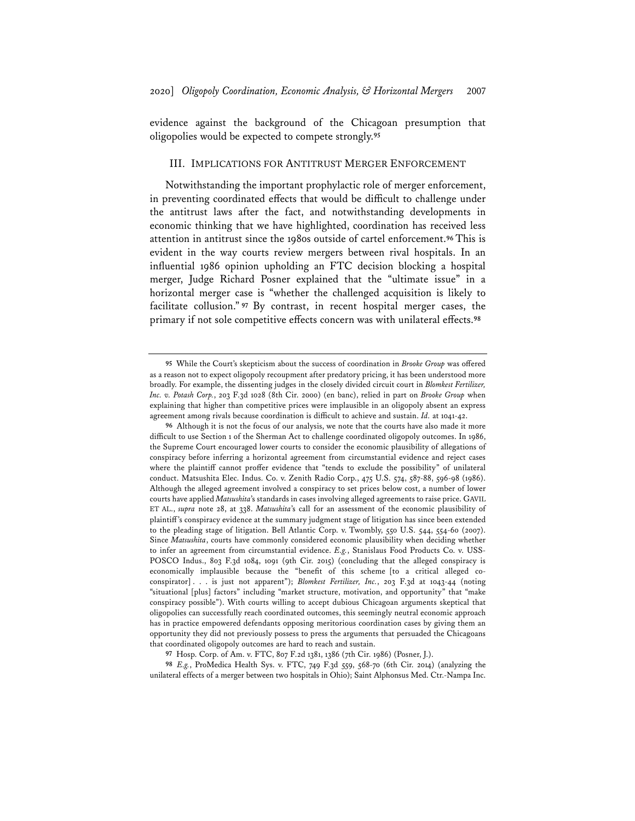evidence against the background of the Chicagoan presumption that oligopolies would be expected to compete strongly.**<sup>95</sup>**

#### III. IMPLICATIONS FOR ANTITRUST MERGER ENFORCEMENT

Notwithstanding the important prophylactic role of merger enforcement, in preventing coordinated effects that would be difficult to challenge under the antitrust laws after the fact, and notwithstanding developments in economic thinking that we have highlighted, coordination has received less attention in antitrust since the 1980s outside of cartel enforcement.**<sup>96</sup>** This is evident in the way courts review mergers between rival hospitals. In an influential 1986 opinion upholding an FTC decision blocking a hospital merger, Judge Richard Posner explained that the "ultimate issue" in a horizontal merger case is "whether the challenged acquisition is likely to facilitate collusion." **<sup>97</sup>** By contrast, in recent hospital merger cases, the primary if not sole competitive effects concern was with unilateral effects.**<sup>98</sup>**

**98** *E.g.*, ProMedica Health Sys. v. FTC, 749 F.3d 559, 568-70 (6th Cir. 2014) (analyzing the unilateral effects of a merger between two hospitals in Ohio); Saint Alphonsus Med. Ctr.-Nampa Inc.

**<sup>95</sup>** While the Court's skepticism about the success of coordination in *Brooke Group* was offered as a reason not to expect oligopoly recoupment after predatory pricing, it has been understood more broadly. For example, the dissenting judges in the closely divided circuit court in *Blomkest Fertilizer, Inc. v. Potash Corp.*, 203 F.3d 1028 (8th Cir. 2000) (en banc), relied in part on *Brooke Group* when explaining that higher than competitive prices were implausible in an oligopoly absent an express agreement among rivals because coordination is difficult to achieve and sustain. *Id.* at 1041-42.

**<sup>96</sup>** Although it is not the focus of our analysis, we note that the courts have also made it more difficult to use Section 1 of the Sherman Act to challenge coordinated oligopoly outcomes. In 1986, the Supreme Court encouraged lower courts to consider the economic plausibility of allegations of conspiracy before inferring a horizontal agreement from circumstantial evidence and reject cases where the plaintiff cannot proffer evidence that "tends to exclude the possibility" of unilateral conduct. Matsushita Elec. Indus. Co. v. Zenith Radio Corp., 475 U.S. 574, 587-88, 596-98 (1986). Although the alleged agreement involved a conspiracy to set prices below cost, a number of lower courts have applied *Matsushita*'s standards in cases involving alleged agreements to raise price. GAVIL ET AL., *supra* note 28, at 338. *Matsushita*'s call for an assessment of the economic plausibility of plaintiff's conspiracy evidence at the summary judgment stage of litigation has since been extended to the pleading stage of litigation. Bell Atlantic Corp. v. Twombly, 550 U.S. 544, 554-60 (2007). Since *Matsushita*, courts have commonly considered economic plausibility when deciding whether to infer an agreement from circumstantial evidence. *E.g.*, Stanislaus Food Products Co. v. USS-POSCO Indus., 803 F.3d 1084, 1091 (9th Cir. 2015) (concluding that the alleged conspiracy is economically implausible because the "benefit of this scheme [to a critical alleged coconspirator] . . . is just not apparent"); *Blomkest Fertilizer, Inc.*, 203 F.3d at 1043-44 (noting "situational [plus] factors" including "market structure, motivation, and opportunity" that "make conspiracy possible"). With courts willing to accept dubious Chicagoan arguments skeptical that oligopolies can successfully reach coordinated outcomes, this seemingly neutral economic approach has in practice empowered defendants opposing meritorious coordination cases by giving them an opportunity they did not previously possess to press the arguments that persuaded the Chicagoans that coordinated oligopoly outcomes are hard to reach and sustain.

**<sup>97</sup>** Hosp. Corp. of Am. v. FTC, 807 F.2d 1381, 1386 (7th Cir. 1986) (Posner, J.).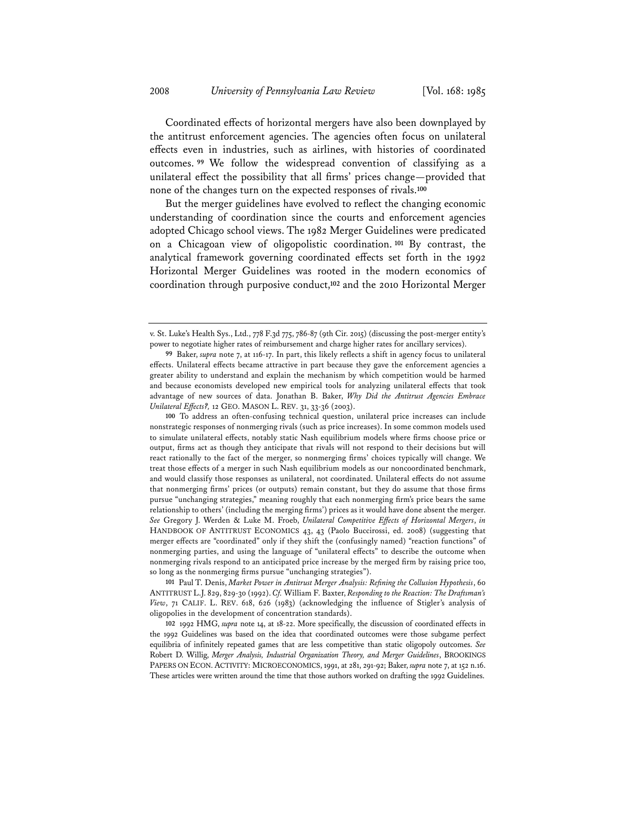Coordinated effects of horizontal mergers have also been downplayed by the antitrust enforcement agencies. The agencies often focus on unilateral effects even in industries, such as airlines, with histories of coordinated outcomes. **<sup>99</sup>** We follow the widespread convention of classifying as a unilateral effect the possibility that all firms' prices change—provided that none of the changes turn on the expected responses of rivals.**<sup>100</sup>**

But the merger guidelines have evolved to reflect the changing economic understanding of coordination since the courts and enforcement agencies adopted Chicago school views. The 1982 Merger Guidelines were predicated on a Chicagoan view of oligopolistic coordination. **<sup>101</sup>** By contrast, the analytical framework governing coordinated effects set forth in the 1992 Horizontal Merger Guidelines was rooted in the modern economics of coordination through purposive conduct,**<sup>102</sup>** and the 2010 Horizontal Merger

**101** Paul T. Denis, *Market Power in Antitrust Merger Analysis: Refining the Collusion Hypothesis*, 60 ANTITRUST L.J. 829, 829-30 (1992). *Cf.* William F. Baxter, *Responding to the Reaction: The Draftsman's View*, 71 CALIF. L. REV. 618, 626 (1983) (acknowledging the influence of Stigler's analysis of oligopolies in the development of concentration standards).

**102** 1992 HMG, *supra* note 14, at 18-22. More specifically, the discussion of coordinated effects in the 1992 Guidelines was based on the idea that coordinated outcomes were those subgame perfect equilibria of infinitely repeated games that are less competitive than static oligopoly outcomes. *See* Robert D. Willig, *Merger Analysis, Industrial Organization Theory, and Merger Guidelines*, BROOKINGS PAPERS ON ECON.ACTIVITY: MICROECONOMICS, 1991, at 281, 291-92; Baker, *supra* note 7, at 152 n.16. These articles were written around the time that those authors worked on drafting the 1992 Guidelines.

v. St. Luke's Health Sys., Ltd., 778 F.3d 775, 786-87 (9th Cir. 2015) (discussing the post-merger entity's power to negotiate higher rates of reimbursement and charge higher rates for ancillary services).

**<sup>99</sup>** Baker, *supra* note 7, at 116-17. In part, this likely reflects a shift in agency focus to unilateral effects. Unilateral effects became attractive in part because they gave the enforcement agencies a greater ability to understand and explain the mechanism by which competition would be harmed and because economists developed new empirical tools for analyzing unilateral effects that took advantage of new sources of data. Jonathan B. Baker, *Why Did the Antitrust Agencies Embrace Unilateral Effects?,* 12 GEO. MASON L. REV. 31, 33-36 (2003).

**<sup>100</sup>** To address an often-confusing technical question, unilateral price increases can include nonstrategic responses of nonmerging rivals (such as price increases). In some common models used to simulate unilateral effects, notably static Nash equilibrium models where firms choose price or output, firms act as though they anticipate that rivals will not respond to their decisions but will react rationally to the fact of the merger, so nonmerging firms' choices typically will change. We treat those effects of a merger in such Nash equilibrium models as our noncoordinated benchmark, and would classify those responses as unilateral, not coordinated. Unilateral effects do not assume that nonmerging firms' prices (or outputs) remain constant, but they do assume that those firms pursue "unchanging strategies," meaning roughly that each nonmerging firm's price bears the same relationship to others' (including the merging firms') prices as it would have done absent the merger. *See* Gregory J. Werden & Luke M. Froeb, *Unilateral Competitive Effects of Horizontal Mergers*, *in* HANDBOOK OF ANTITRUST ECONOMICS 43, 43 (Paolo Buccirossi, ed. 2008) (suggesting that merger effects are "coordinated" only if they shift the (confusingly named) "reaction functions" of nonmerging parties, and using the language of "unilateral effects" to describe the outcome when nonmerging rivals respond to an anticipated price increase by the merged firm by raising price too, so long as the nonmerging firms pursue "unchanging strategies").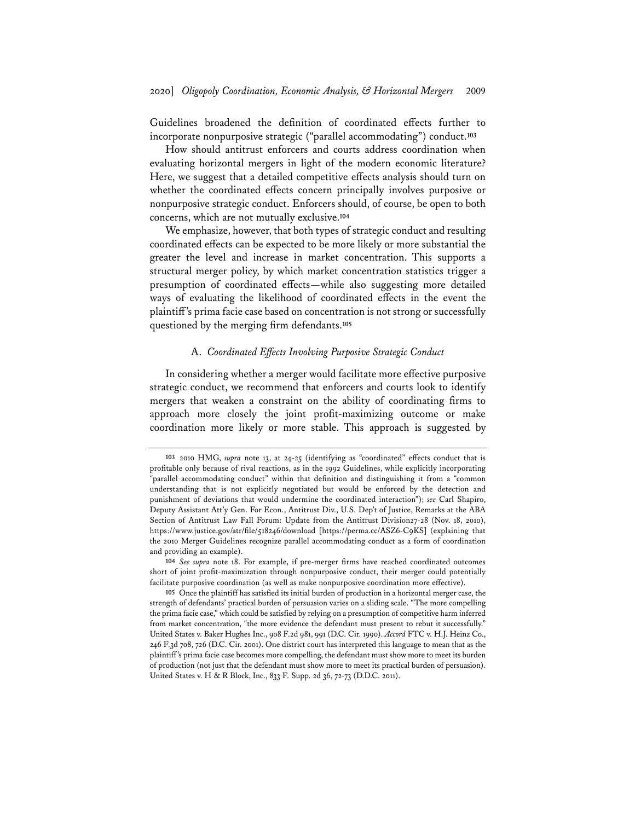Guidelines broadened the definition of coordinated effects further to incorporate nonpurposive strategic ("parallel accommodating") conduct.**<sup>103</sup>**

How should antitrust enforcers and courts address coordination when evaluating horizontal mergers in light of the modern economic literature? Here, we suggest that a detailed competitive effects analysis should turn on whether the coordinated effects concern principally involves purposive or nonpurposive strategic conduct. Enforcers should, of course, be open to both concerns, which are not mutually exclusive.**<sup>104</sup>**

We emphasize, however, that both types of strategic conduct and resulting coordinated effects can be expected to be more likely or more substantial the greater the level and increase in market concentration. This supports a structural merger policy, by which market concentration statistics trigger a presumption of coordinated effects—while also suggesting more detailed ways of evaluating the likelihood of coordinated effects in the event the plaintiff's prima facie case based on concentration is not strong or successfully questioned by the merging firm defendants.**<sup>105</sup>**

# A. *Coordinated Effects Involving Purposive Strategic Conduct*

In considering whether a merger would facilitate more effective purposive strategic conduct, we recommend that enforcers and courts look to identify mergers that weaken a constraint on the ability of coordinating firms to approach more closely the joint profit-maximizing outcome or make coordination more likely or more stable. This approach is suggested by

**<sup>103</sup>** 2010 HMG, *supra* note 13, at 24-25 (identifying as "coordinated" effects conduct that is profitable only because of rival reactions, as in the 1992 Guidelines, while explicitly incorporating "parallel accommodating conduct" within that definition and distinguishing it from a "common understanding that is not explicitly negotiated but would be enforced by the detection and punishment of deviations that would undermine the coordinated interaction"); *see* Carl Shapiro, Deputy Assistant Att'y Gen. For Econ., Antitrust Div., U.S. Dep't of Justice, Remarks at the ABA Section of Antitrust Law Fall Forum: Update from the Antitrust Division27-28 (Nov. 18, 2010), https://www.justice.gov/atr/file/518246/download [https://perma.cc/ASZ6-C9KS] (explaining that the 2010 Merger Guidelines recognize parallel accommodating conduct as a form of coordination and providing an example).

**<sup>104</sup>** *See supra* note 18. For example, if pre-merger firms have reached coordinated outcomes short of joint profit-maximization through nonpurposive conduct, their merger could potentially facilitate purposive coordination (as well as make nonpurposive coordination more effective).

**<sup>105</sup>** Once the plaintiff has satisfied its initial burden of production in a horizontal merger case, the strength of defendants' practical burden of persuasion varies on a sliding scale. "The more compelling the prima facie case," which could be satisfied by relying on a presumption of competitive harm inferred from market concentration, "the more evidence the defendant must present to rebut it successfully." United States v. Baker Hughes Inc., 908 F.2d 981, 991 (D.C. Cir. 1990). *Accord* FTC v. H.J. Heinz Co., 246 F.3d 708, 726 (D.C. Cir. 2001). One district court has interpreted this language to mean that as the plaintiff's prima facie case becomes more compelling, the defendant must show more to meet its burden of production (not just that the defendant must show more to meet its practical burden of persuasion). United States v. H & R Block, Inc., 833 F. Supp. 2d 36, 72-73 (D.D.C. 2011).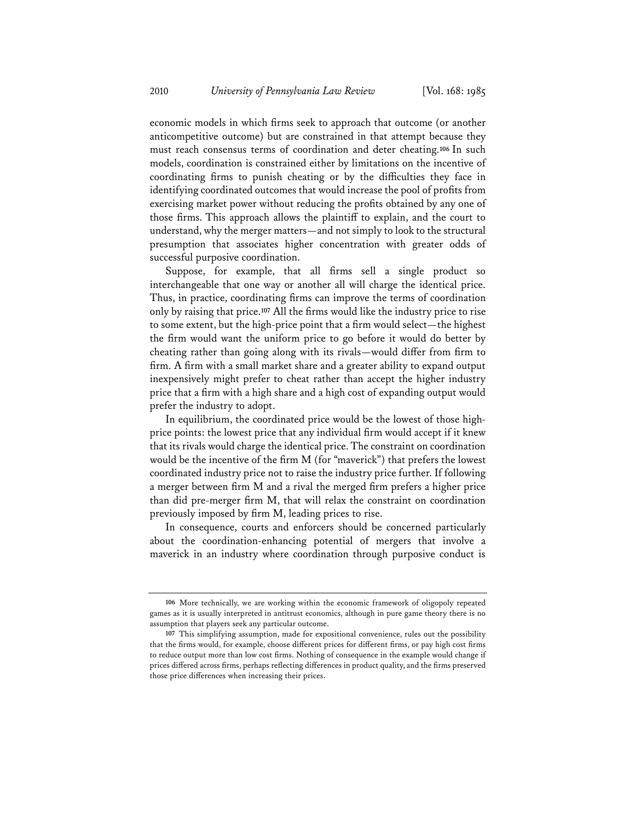economic models in which firms seek to approach that outcome (or another anticompetitive outcome) but are constrained in that attempt because they must reach consensus terms of coordination and deter cheating.**<sup>106</sup>** In such models, coordination is constrained either by limitations on the incentive of coordinating firms to punish cheating or by the difficulties they face in identifying coordinated outcomes that would increase the pool of profits from exercising market power without reducing the profits obtained by any one of those firms. This approach allows the plaintiff to explain, and the court to understand, why the merger matters—and not simply to look to the structural presumption that associates higher concentration with greater odds of successful purposive coordination.

Suppose, for example, that all firms sell a single product so interchangeable that one way or another all will charge the identical price. Thus, in practice, coordinating firms can improve the terms of coordination only by raising that price.**<sup>107</sup>** All the firms would like the industry price to rise to some extent, but the high-price point that a firm would select—the highest the firm would want the uniform price to go before it would do better by cheating rather than going along with its rivals—would differ from firm to firm. A firm with a small market share and a greater ability to expand output inexpensively might prefer to cheat rather than accept the higher industry price that a firm with a high share and a high cost of expanding output would prefer the industry to adopt.

In equilibrium, the coordinated price would be the lowest of those highprice points: the lowest price that any individual firm would accept if it knew that its rivals would charge the identical price. The constraint on coordination would be the incentive of the firm M (for "maverick") that prefers the lowest coordinated industry price not to raise the industry price further. If following a merger between firm M and a rival the merged firm prefers a higher price than did pre-merger firm M, that will relax the constraint on coordination previously imposed by firm M, leading prices to rise.

In consequence, courts and enforcers should be concerned particularly about the coordination-enhancing potential of mergers that involve a maverick in an industry where coordination through purposive conduct is

**<sup>106</sup>** More technically, we are working within the economic framework of oligopoly repeated games as it is usually interpreted in antitrust economics, although in pure game theory there is no assumption that players seek any particular outcome.

**<sup>107</sup>** This simplifying assumption, made for expositional convenience, rules out the possibility that the firms would, for example, choose different prices for different firms, or pay high cost firms to reduce output more than low cost firms. Nothing of consequence in the example would change if prices differed across firms, perhaps reflecting differences in product quality, and the firms preserved those price differences when increasing their prices.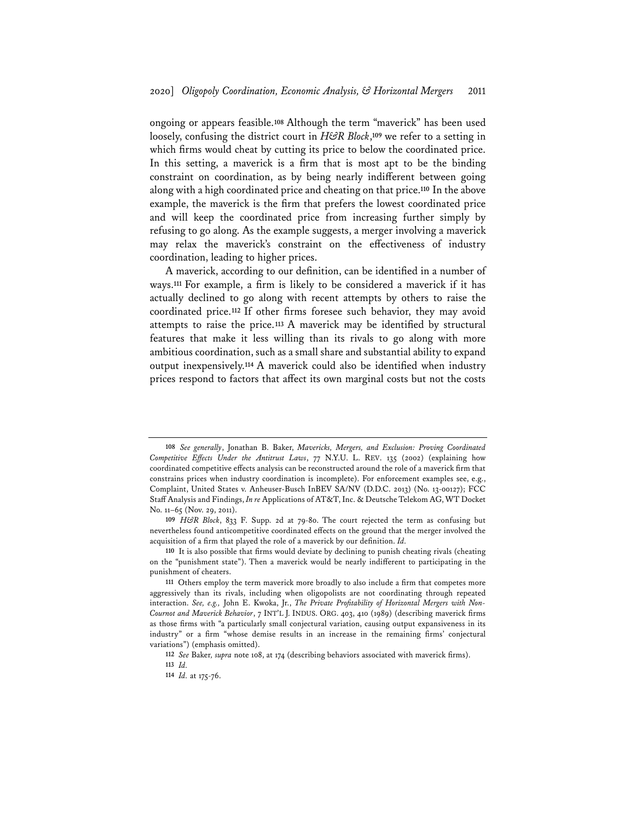ongoing or appears feasible.**<sup>108</sup>** Although the term "maverick" has been used loosely, confusing the district court in *H&R Block*,**<sup>109</sup>** we refer to a setting in which firms would cheat by cutting its price to below the coordinated price. In this setting, a maverick is a firm that is most apt to be the binding constraint on coordination, as by being nearly indifferent between going along with a high coordinated price and cheating on that price.**<sup>110</sup>** In the above example, the maverick is the firm that prefers the lowest coordinated price and will keep the coordinated price from increasing further simply by refusing to go along. As the example suggests, a merger involving a maverick may relax the maverick's constraint on the effectiveness of industry coordination, leading to higher prices.

A maverick, according to our definition, can be identified in a number of ways.**<sup>111</sup>** For example, a firm is likely to be considered a maverick if it has actually declined to go along with recent attempts by others to raise the coordinated price.**<sup>112</sup>** If other firms foresee such behavior, they may avoid attempts to raise the price.**<sup>113</sup>** A maverick may be identified by structural features that make it less willing than its rivals to go along with more ambitious coordination, such as a small share and substantial ability to expand output inexpensively.**<sup>114</sup>** A maverick could also be identified when industry prices respond to factors that affect its own marginal costs but not the costs

**<sup>108</sup>** *See generally*, Jonathan B. Baker, *Mavericks, Mergers, and Exclusion: Proving Coordinated Competitive Effects Under the Antitrust Laws*, 77 N.Y.U. L. REV. 135 (2002) (explaining how coordinated competitive effects analysis can be reconstructed around the role of a maverick firm that constrains prices when industry coordination is incomplete). For enforcement examples see, e.g., Complaint, United States v. Anheuser-Busch InBEV SA/NV (D.D.C. 2013) (No. 13-00127); FCC Staff Analysis and Findings, *In re* Applications of AT&T, Inc. & Deutsche Telekom AG, WT Docket No. 11–65 (Nov. 29, 2011).

**<sup>109</sup>** *H&R Block*, 833 F. Supp. 2d at 79-80. The court rejected the term as confusing but nevertheless found anticompetitive coordinated effects on the ground that the merger involved the acquisition of a firm that played the role of a maverick by our definition. *Id.*

**<sup>110</sup>** It is also possible that firms would deviate by declining to punish cheating rivals (cheating on the "punishment state"). Then a maverick would be nearly indifferent to participating in the punishment of cheaters.

**<sup>111</sup>** Others employ the term maverick more broadly to also include a firm that competes more aggressively than its rivals, including when oligopolists are not coordinating through repeated interaction. *See, e.g.,* John E. Kwoka, Jr., *The Private Profitability of Horizontal Mergers with Non-Cournot and Maverick Behavior*, 7 INT'L J. INDUS. ORG. 403, 410 (1989) (describing maverick firms as those firms with "a particularly small conjectural variation, causing output expansiveness in its industry" or a firm "whose demise results in an increase in the remaining firms' conjectural variations") (emphasis omitted).

**<sup>112</sup>** *See* Baker*, supra* note 108, at 174 (describing behaviors associated with maverick firms).

**<sup>113</sup>** *Id.*

**<sup>114</sup>** *Id.* at 175-76.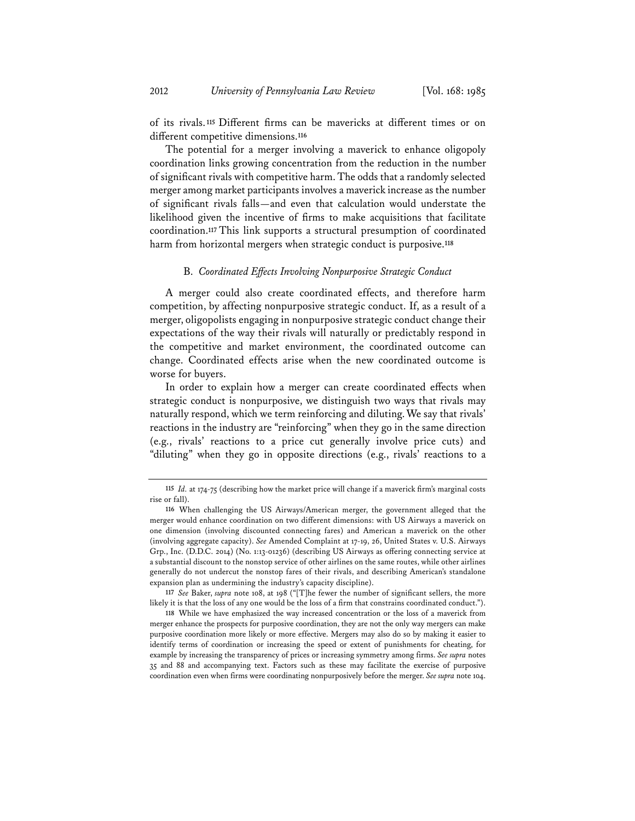of its rivals.**<sup>115</sup>** Different firms can be mavericks at different times or on different competitive dimensions.**<sup>116</sup>**

The potential for a merger involving a maverick to enhance oligopoly coordination links growing concentration from the reduction in the number of significant rivals with competitive harm. The odds that a randomly selected merger among market participants involves a maverick increase as the number of significant rivals falls—and even that calculation would understate the likelihood given the incentive of firms to make acquisitions that facilitate coordination.**<sup>117</sup>** This link supports a structural presumption of coordinated harm from horizontal mergers when strategic conduct is purposive.**<sup>118</sup>**

#### B. *Coordinated Effects Involving Nonpurposive Strategic Conduct*

A merger could also create coordinated effects, and therefore harm competition, by affecting nonpurposive strategic conduct. If, as a result of a merger, oligopolists engaging in nonpurposive strategic conduct change their expectations of the way their rivals will naturally or predictably respond in the competitive and market environment, the coordinated outcome can change. Coordinated effects arise when the new coordinated outcome is worse for buyers.

In order to explain how a merger can create coordinated effects when strategic conduct is nonpurposive, we distinguish two ways that rivals may naturally respond, which we term reinforcing and diluting.We say that rivals' reactions in the industry are "reinforcing" when they go in the same direction (e.g., rivals' reactions to a price cut generally involve price cuts) and "diluting" when they go in opposite directions (e.g., rivals' reactions to a

**117** *See* Baker, *supra* note 108, at 198 ("[T]he fewer the number of significant sellers, the more likely it is that the loss of any one would be the loss of a firm that constrains coordinated conduct.").

**118** While we have emphasized the way increased concentration or the loss of a maverick from merger enhance the prospects for purposive coordination, they are not the only way mergers can make purposive coordination more likely or more effective. Mergers may also do so by making it easier to identify terms of coordination or increasing the speed or extent of punishments for cheating, for example by increasing the transparency of prices or increasing symmetry among firms. *See supra* notes 35 and 88 and accompanying text. Factors such as these may facilitate the exercise of purposive coordination even when firms were coordinating nonpurposively before the merger. *See supra* note 104.

**<sup>115</sup>** *Id.* at 174-75 (describing how the market price will change if a maverick firm's marginal costs rise or fall).

**<sup>116</sup>** When challenging the US Airways/American merger, the government alleged that the merger would enhance coordination on two different dimensions: with US Airways a maverick on one dimension (involving discounted connecting fares) and American a maverick on the other (involving aggregate capacity). *See* Amended Complaint at 17-19, 26, United States v. U.S. Airways Grp., Inc. (D.D.C. 2014) (No. 1:13-01236) (describing US Airways as offering connecting service at a substantial discount to the nonstop service of other airlines on the same routes, while other airlines generally do not undercut the nonstop fares of their rivals, and describing American's standalone expansion plan as undermining the industry's capacity discipline).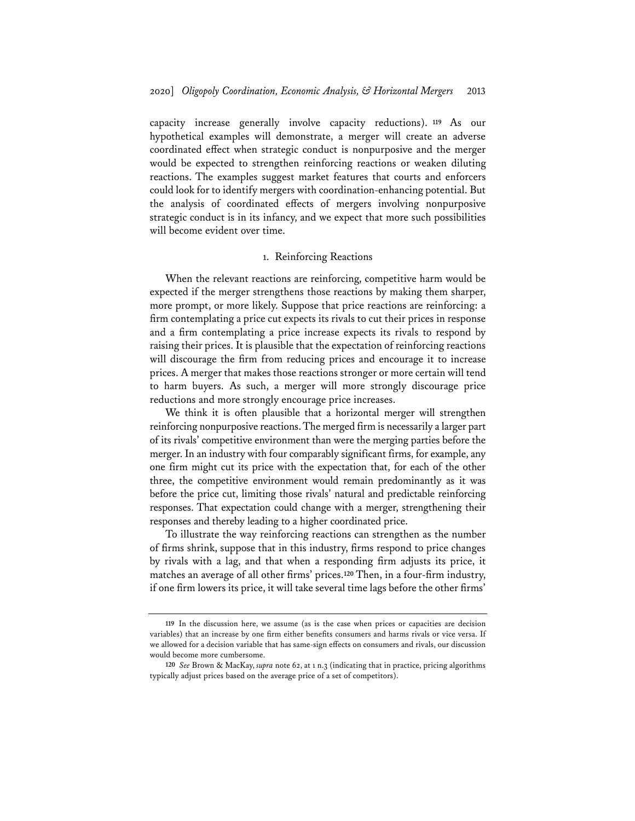capacity increase generally involve capacity reductions). **<sup>119</sup>** As our hypothetical examples will demonstrate, a merger will create an adverse coordinated effect when strategic conduct is nonpurposive and the merger would be expected to strengthen reinforcing reactions or weaken diluting reactions. The examples suggest market features that courts and enforcers could look for to identify mergers with coordination-enhancing potential. But the analysis of coordinated effects of mergers involving nonpurposive strategic conduct is in its infancy, and we expect that more such possibilities will become evident over time.

## 1. Reinforcing Reactions

When the relevant reactions are reinforcing, competitive harm would be expected if the merger strengthens those reactions by making them sharper, more prompt, or more likely. Suppose that price reactions are reinforcing: a firm contemplating a price cut expects its rivals to cut their prices in response and a firm contemplating a price increase expects its rivals to respond by raising their prices. It is plausible that the expectation of reinforcing reactions will discourage the firm from reducing prices and encourage it to increase prices. A merger that makes those reactions stronger or more certain will tend to harm buyers. As such, a merger will more strongly discourage price reductions and more strongly encourage price increases.

We think it is often plausible that a horizontal merger will strengthen reinforcing nonpurposive reactions. The merged firm is necessarily a larger part of its rivals' competitive environment than were the merging parties before the merger. In an industry with four comparably significant firms, for example, any one firm might cut its price with the expectation that, for each of the other three, the competitive environment would remain predominantly as it was before the price cut, limiting those rivals' natural and predictable reinforcing responses. That expectation could change with a merger, strengthening their responses and thereby leading to a higher coordinated price.

To illustrate the way reinforcing reactions can strengthen as the number of firms shrink, suppose that in this industry, firms respond to price changes by rivals with a lag, and that when a responding firm adjusts its price, it matches an average of all other firms' prices.**<sup>120</sup>** Then, in a four-firm industry, if one firm lowers its price, it will take several time lags before the other firms'

**<sup>119</sup>** In the discussion here, we assume (as is the case when prices or capacities are decision variables) that an increase by one firm either benefits consumers and harms rivals or vice versa. If we allowed for a decision variable that has same-sign effects on consumers and rivals, our discussion would become more cumbersome.

**<sup>120</sup>** *See* Brown & MacKay, *supra* note 62, at 1 n.3 (indicating that in practice, pricing algorithms typically adjust prices based on the average price of a set of competitors).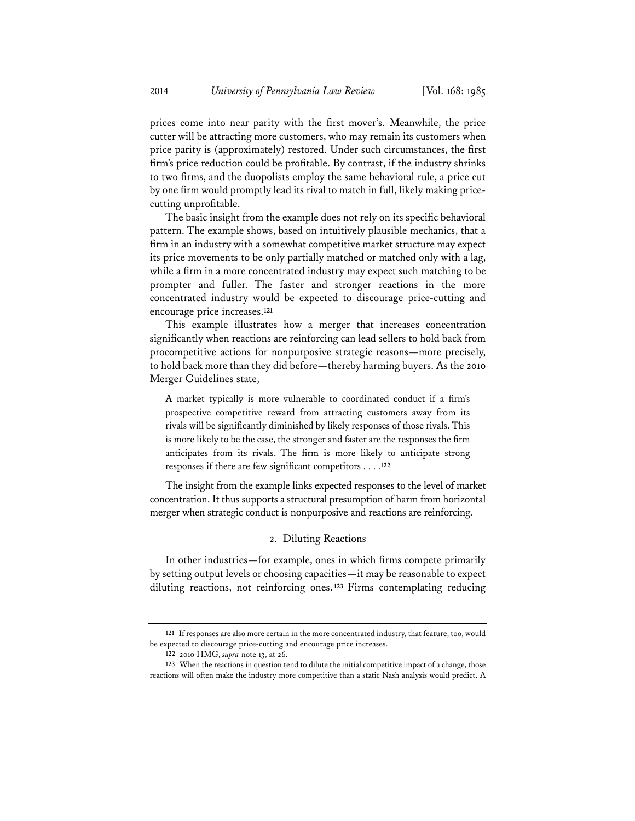prices come into near parity with the first mover's. Meanwhile, the price cutter will be attracting more customers, who may remain its customers when price parity is (approximately) restored. Under such circumstances, the first firm's price reduction could be profitable. By contrast, if the industry shrinks to two firms, and the duopolists employ the same behavioral rule, a price cut by one firm would promptly lead its rival to match in full, likely making pricecutting unprofitable.

The basic insight from the example does not rely on its specific behavioral pattern. The example shows, based on intuitively plausible mechanics, that a firm in an industry with a somewhat competitive market structure may expect its price movements to be only partially matched or matched only with a lag, while a firm in a more concentrated industry may expect such matching to be prompter and fuller. The faster and stronger reactions in the more concentrated industry would be expected to discourage price-cutting and encourage price increases.**<sup>121</sup>**

This example illustrates how a merger that increases concentration significantly when reactions are reinforcing can lead sellers to hold back from procompetitive actions for nonpurposive strategic reasons—more precisely, to hold back more than they did before—thereby harming buyers. As the 2010 Merger Guidelines state,

A market typically is more vulnerable to coordinated conduct if a firm's prospective competitive reward from attracting customers away from its rivals will be significantly diminished by likely responses of those rivals. This is more likely to be the case, the stronger and faster are the responses the firm anticipates from its rivals. The firm is more likely to anticipate strong responses if there are few significant competitors . . . .**<sup>122</sup>**

The insight from the example links expected responses to the level of market concentration. It thus supports a structural presumption of harm from horizontal merger when strategic conduct is nonpurposive and reactions are reinforcing.

# 2. Diluting Reactions

In other industries—for example, ones in which firms compete primarily by setting output levels or choosing capacities—it may be reasonable to expect diluting reactions, not reinforcing ones.**<sup>123</sup>** Firms contemplating reducing

**<sup>121</sup>** If responses are also more certain in the more concentrated industry, that feature, too, would be expected to discourage price-cutting and encourage price increases.

**<sup>122</sup>** 2010 HMG, *supra* note 13, at 26.

**<sup>123</sup>** When the reactions in question tend to dilute the initial competitive impact of a change, those reactions will often make the industry more competitive than a static Nash analysis would predict. A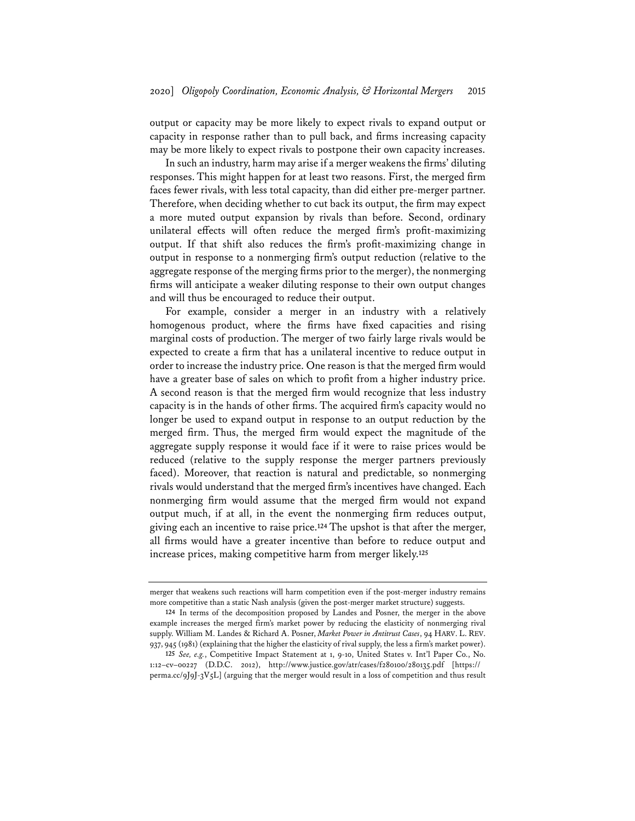output or capacity may be more likely to expect rivals to expand output or capacity in response rather than to pull back, and firms increasing capacity may be more likely to expect rivals to postpone their own capacity increases.

In such an industry, harm may arise if a merger weakens the firms' diluting responses. This might happen for at least two reasons. First, the merged firm faces fewer rivals, with less total capacity, than did either pre-merger partner. Therefore, when deciding whether to cut back its output, the firm may expect a more muted output expansion by rivals than before. Second, ordinary unilateral effects will often reduce the merged firm's profit-maximizing output. If that shift also reduces the firm's profit-maximizing change in output in response to a nonmerging firm's output reduction (relative to the aggregate response of the merging firms prior to the merger), the nonmerging firms will anticipate a weaker diluting response to their own output changes and will thus be encouraged to reduce their output.

For example, consider a merger in an industry with a relatively homogenous product, where the firms have fixed capacities and rising marginal costs of production. The merger of two fairly large rivals would be expected to create a firm that has a unilateral incentive to reduce output in order to increase the industry price. One reason is that the merged firm would have a greater base of sales on which to profit from a higher industry price. A second reason is that the merged firm would recognize that less industry capacity is in the hands of other firms. The acquired firm's capacity would no longer be used to expand output in response to an output reduction by the merged firm. Thus, the merged firm would expect the magnitude of the aggregate supply response it would face if it were to raise prices would be reduced (relative to the supply response the merger partners previously faced). Moreover, that reaction is natural and predictable, so nonmerging rivals would understand that the merged firm's incentives have changed. Each nonmerging firm would assume that the merged firm would not expand output much, if at all, in the event the nonmerging firm reduces output, giving each an incentive to raise price.**<sup>124</sup>** The upshot is that after the merger, all firms would have a greater incentive than before to reduce output and increase prices, making competitive harm from merger likely.**<sup>125</sup>**

merger that weakens such reactions will harm competition even if the post-merger industry remains more competitive than a static Nash analysis (given the post-merger market structure) suggests.

**<sup>124</sup>** In terms of the decomposition proposed by Landes and Posner, the merger in the above example increases the merged firm's market power by reducing the elasticity of nonmerging rival supply. William M. Landes & Richard A. Posner, *Market Power in Antitrust Cases*, 94 HARV. L. REV. 937, 945 (1981) (explaining that the higher the elasticity of rival supply, the less a firm's market power).

**<sup>125</sup>** *See, e.g.*, Competitive Impact Statement at 1, 9-10, United States v. Int'l Paper Co., No. 1:12–cv–00227 (D.D.C. 2012), http://www.justice.gov/atr/cases/f280100/280135.pdf [https:// perma.cc/9J9J-3V5L] (arguing that the merger would result in a loss of competition and thus result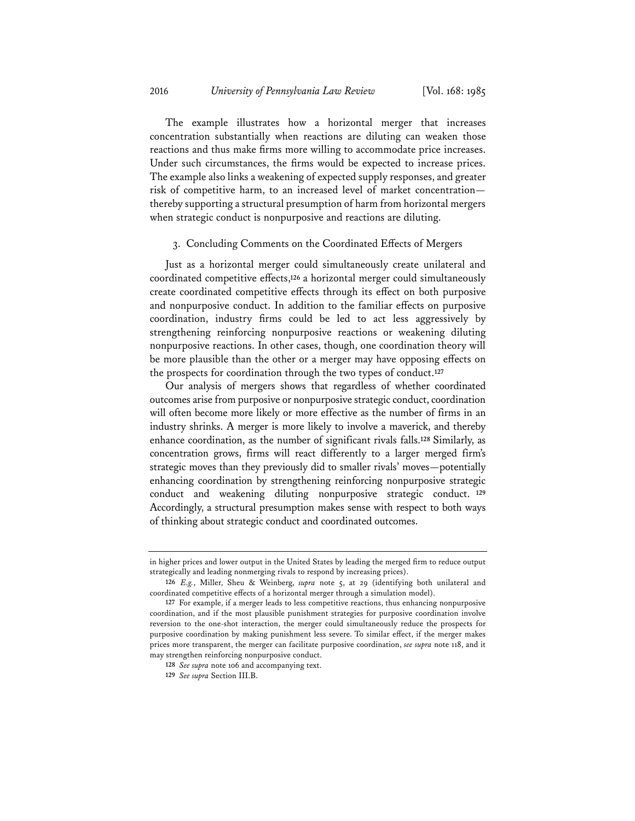The example illustrates how a horizontal merger that increases concentration substantially when reactions are diluting can weaken those reactions and thus make firms more willing to accommodate price increases. Under such circumstances, the firms would be expected to increase prices. The example also links a weakening of expected supply responses, and greater risk of competitive harm, to an increased level of market concentration thereby supporting a structural presumption of harm from horizontal mergers when strategic conduct is nonpurposive and reactions are diluting.

## 3. Concluding Comments on the Coordinated Effects of Mergers

Just as a horizontal merger could simultaneously create unilateral and coordinated competitive effects,**<sup>126</sup>** a horizontal merger could simultaneously create coordinated competitive effects through its effect on both purposive and nonpurposive conduct. In addition to the familiar effects on purposive coordination, industry firms could be led to act less aggressively by strengthening reinforcing nonpurposive reactions or weakening diluting nonpurposive reactions. In other cases, though, one coordination theory will be more plausible than the other or a merger may have opposing effects on the prospects for coordination through the two types of conduct.**<sup>127</sup>**

Our analysis of mergers shows that regardless of whether coordinated outcomes arise from purposive or nonpurposive strategic conduct, coordination will often become more likely or more effective as the number of firms in an industry shrinks. A merger is more likely to involve a maverick, and thereby enhance coordination, as the number of significant rivals falls.**<sup>128</sup>** Similarly, as concentration grows, firms will react differently to a larger merged firm's strategic moves than they previously did to smaller rivals' moves—potentially enhancing coordination by strengthening reinforcing nonpurposive strategic conduct and weakening diluting nonpurposive strategic conduct. **<sup>129</sup>** Accordingly, a structural presumption makes sense with respect to both ways of thinking about strategic conduct and coordinated outcomes.

in higher prices and lower output in the United States by leading the merged firm to reduce output strategically and leading nonmerging rivals to respond by increasing prices).

**<sup>126</sup>** *E.g.*, Miller, Sheu & Weinberg, *supra* note 5, at 29 (identifying both unilateral and coordinated competitive effects of a horizontal merger through a simulation model).

**<sup>127</sup>** For example, if a merger leads to less competitive reactions, thus enhancing nonpurposive coordination, and if the most plausible punishment strategies for purposive coordination involve reversion to the one-shot interaction, the merger could simultaneously reduce the prospects for purposive coordination by making punishment less severe. To similar effect, if the merger makes prices more transparent, the merger can facilitate purposive coordination, *see supra* note 118, and it may strengthen reinforcing nonpurposive conduct.

**<sup>128</sup>** *See supra* note 106 and accompanying text.

**<sup>129</sup>** *See supra* Section III.B.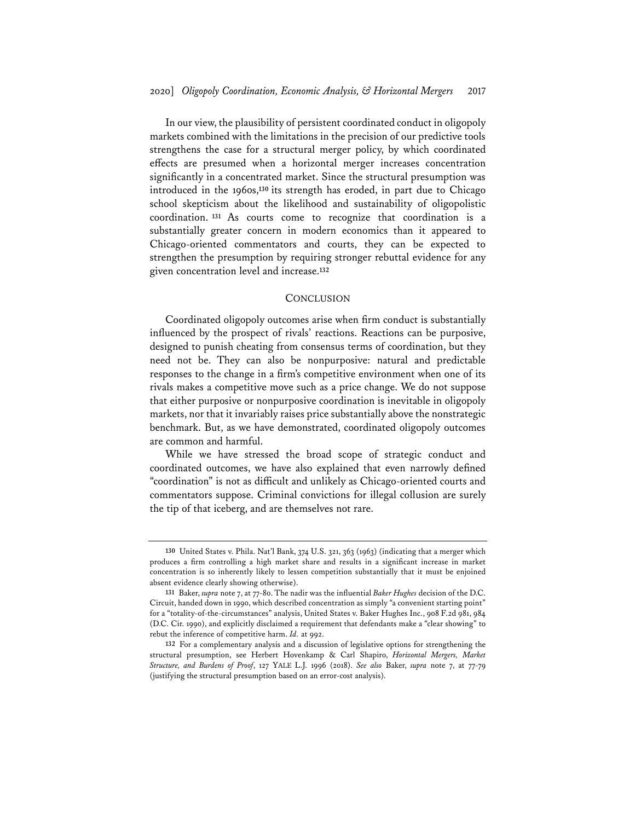In our view, the plausibility of persistent coordinated conduct in oligopoly markets combined with the limitations in the precision of our predictive tools strengthens the case for a structural merger policy, by which coordinated effects are presumed when a horizontal merger increases concentration significantly in a concentrated market. Since the structural presumption was introduced in the 1960s,**<sup>130</sup>** its strength has eroded, in part due to Chicago school skepticism about the likelihood and sustainability of oligopolistic coordination. **<sup>131</sup>** As courts come to recognize that coordination is a substantially greater concern in modern economics than it appeared to Chicago-oriented commentators and courts, they can be expected to strengthen the presumption by requiring stronger rebuttal evidence for any given concentration level and increase.**<sup>132</sup>**

#### **CONCLUSION**

Coordinated oligopoly outcomes arise when firm conduct is substantially influenced by the prospect of rivals' reactions. Reactions can be purposive, designed to punish cheating from consensus terms of coordination, but they need not be. They can also be nonpurposive: natural and predictable responses to the change in a firm's competitive environment when one of its rivals makes a competitive move such as a price change. We do not suppose that either purposive or nonpurposive coordination is inevitable in oligopoly markets, nor that it invariably raises price substantially above the nonstrategic benchmark. But, as we have demonstrated, coordinated oligopoly outcomes are common and harmful.

While we have stressed the broad scope of strategic conduct and coordinated outcomes, we have also explained that even narrowly defined "coordination" is not as difficult and unlikely as Chicago-oriented courts and commentators suppose. Criminal convictions for illegal collusion are surely the tip of that iceberg, and are themselves not rare.

**<sup>130</sup>** United States v. Phila. Nat'l Bank, 374 U.S. 321, 363 (1963) (indicating that a merger which produces a firm controlling a high market share and results in a significant increase in market concentration is so inherently likely to lessen competition substantially that it must be enjoined absent evidence clearly showing otherwise).

**<sup>131</sup>** Baker, *supra* note 7, at 77-80. The nadir was the influential *Baker Hughes* decision of the D.C. Circuit, handed down in 1990, which described concentration as simply "a convenient starting point" for a "totality-of-the-circumstances" analysis, United States v. Baker Hughes Inc., 908 F.2d 981, 984 (D.C. Cir. 1990), and explicitly disclaimed a requirement that defendants make a "clear showing" to rebut the inference of competitive harm. *Id.* at 992.

**<sup>132</sup>** For a complementary analysis and a discussion of legislative options for strengthening the structural presumption, see Herbert Hovenkamp & Carl Shapiro, *Horizontal Mergers, Market Structure, and Burdens of Proof*, 127 YALE L.J. 1996 (2018). *See also* Baker, *supra* note 7, at 77-79 (justifying the structural presumption based on an error-cost analysis).